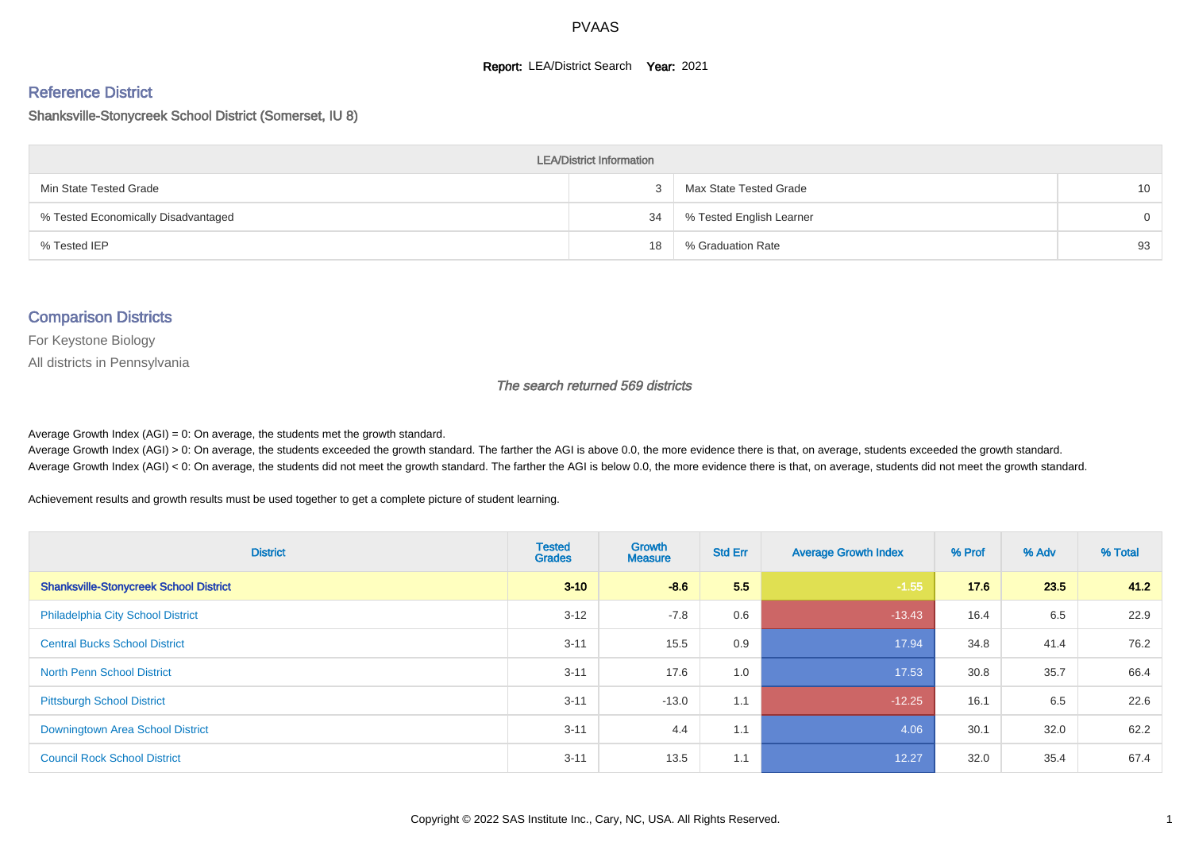#### **Report: LEA/District Search Year: 2021**

# Reference District

#### Shanksville-Stonycreek School District (Somerset, IU 8)

| <b>LEA/District Information</b>     |    |                          |          |  |  |  |  |  |  |  |
|-------------------------------------|----|--------------------------|----------|--|--|--|--|--|--|--|
| Min State Tested Grade              |    | Max State Tested Grade   | 10       |  |  |  |  |  |  |  |
| % Tested Economically Disadvantaged | 34 | % Tested English Learner | $\Omega$ |  |  |  |  |  |  |  |
| % Tested IEP                        | 18 | % Graduation Rate        | 93       |  |  |  |  |  |  |  |

#### Comparison Districts

For Keystone Biology

All districts in Pennsylvania

The search returned 569 districts

Average Growth Index  $(AGI) = 0$ : On average, the students met the growth standard.

Average Growth Index (AGI) > 0: On average, the students exceeded the growth standard. The farther the AGI is above 0.0, the more evidence there is that, on average, students exceeded the growth standard. Average Growth Index (AGI) < 0: On average, the students did not meet the growth standard. The farther the AGI is below 0.0, the more evidence there is that, on average, students did not meet the growth standard.

Achievement results and growth results must be used together to get a complete picture of student learning.

| <b>District</b>                               | <b>Tested</b><br><b>Grades</b> | Growth<br><b>Measure</b> | <b>Std Err</b> | <b>Average Growth Index</b> | % Prof | % Adv | % Total |
|-----------------------------------------------|--------------------------------|--------------------------|----------------|-----------------------------|--------|-------|---------|
| <b>Shanksville-Stonycreek School District</b> | $3 - 10$                       | $-8.6$                   | 5.5            | $-1.55$                     | 17.6   | 23.5  | 41.2    |
| <b>Philadelphia City School District</b>      | $3 - 12$                       | $-7.8$                   | 0.6            | $-13.43$                    | 16.4   | 6.5   | 22.9    |
| <b>Central Bucks School District</b>          | $3 - 11$                       | 15.5                     | 0.9            | 17.94                       | 34.8   | 41.4  | 76.2    |
| <b>North Penn School District</b>             | $3 - 11$                       | 17.6                     | 1.0            | 17.53                       | 30.8   | 35.7  | 66.4    |
| <b>Pittsburgh School District</b>             | $3 - 11$                       | $-13.0$                  | 1.1            | $-12.25$                    | 16.1   | 6.5   | 22.6    |
| <b>Downingtown Area School District</b>       | $3 - 11$                       | 4.4                      | 1.1            | 4.06                        | 30.1   | 32.0  | 62.2    |
| <b>Council Rock School District</b>           | $3 - 11$                       | 13.5                     | 1.1            | 12.27                       | 32.0   | 35.4  | 67.4    |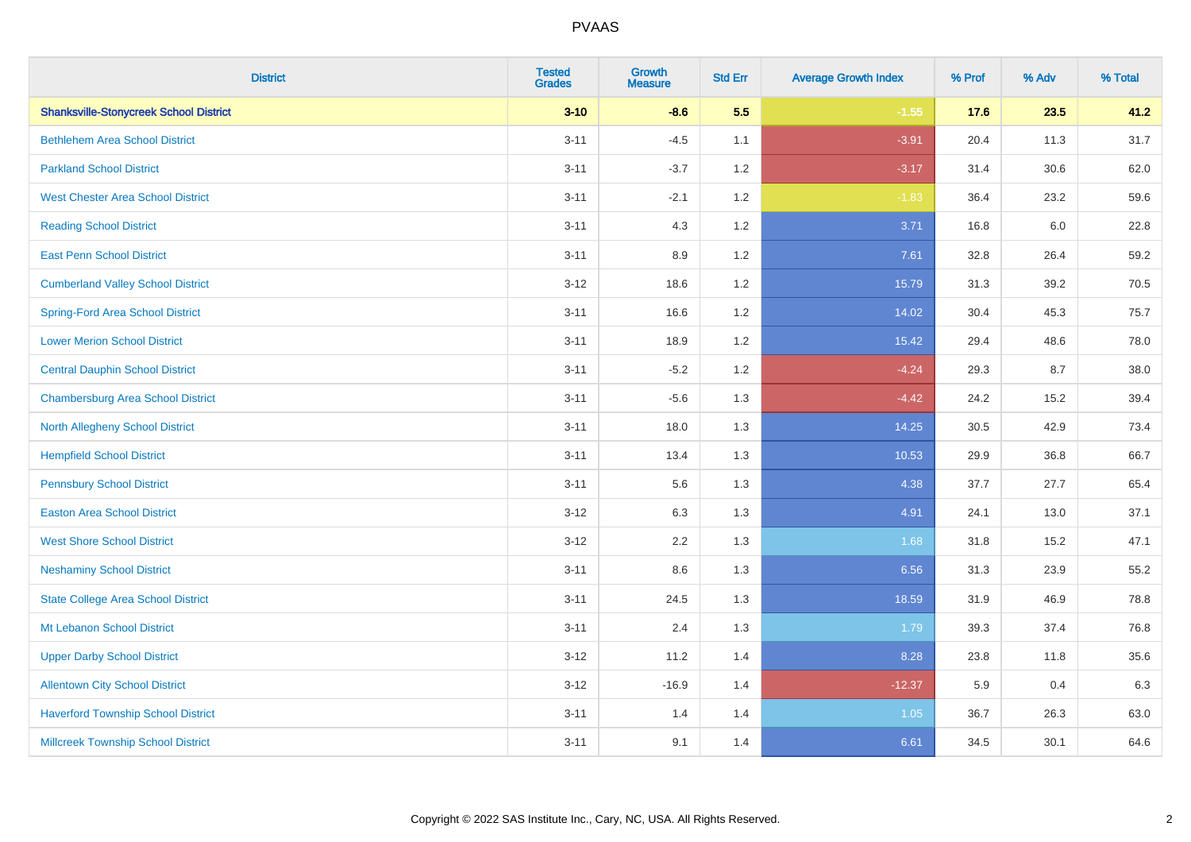| <b>District</b>                               | <b>Tested</b><br><b>Grades</b> | <b>Growth</b><br><b>Measure</b> | <b>Std Err</b> | <b>Average Growth Index</b> | % Prof | % Adv | % Total |
|-----------------------------------------------|--------------------------------|---------------------------------|----------------|-----------------------------|--------|-------|---------|
| <b>Shanksville-Stonycreek School District</b> | $3 - 10$                       | $-8.6$                          | 5.5            | $-1.55$                     | 17.6   | 23.5  | 41.2    |
| <b>Bethlehem Area School District</b>         | $3 - 11$                       | $-4.5$                          | 1.1            | $-3.91$                     | 20.4   | 11.3  | 31.7    |
| <b>Parkland School District</b>               | $3 - 11$                       | $-3.7$                          | 1.2            | $-3.17$                     | 31.4   | 30.6  | 62.0    |
| <b>West Chester Area School District</b>      | $3 - 11$                       | $-2.1$                          | 1.2            | $-1.83$                     | 36.4   | 23.2  | 59.6    |
| <b>Reading School District</b>                | $3 - 11$                       | 4.3                             | 1.2            | 3.71                        | 16.8   | 6.0   | 22.8    |
| <b>East Penn School District</b>              | $3 - 11$                       | 8.9                             | 1.2            | 7.61                        | 32.8   | 26.4  | 59.2    |
| <b>Cumberland Valley School District</b>      | $3-12$                         | 18.6                            | 1.2            | 15.79                       | 31.3   | 39.2  | 70.5    |
| <b>Spring-Ford Area School District</b>       | $3 - 11$                       | 16.6                            | 1.2            | 14.02                       | 30.4   | 45.3  | 75.7    |
| <b>Lower Merion School District</b>           | $3 - 11$                       | 18.9                            | 1.2            | 15.42                       | 29.4   | 48.6  | 78.0    |
| <b>Central Dauphin School District</b>        | $3 - 11$                       | $-5.2$                          | 1.2            | $-4.24$                     | 29.3   | 8.7   | 38.0    |
| <b>Chambersburg Area School District</b>      | $3 - 11$                       | $-5.6$                          | 1.3            | $-4.42$                     | 24.2   | 15.2  | 39.4    |
| <b>North Allegheny School District</b>        | $3 - 11$                       | 18.0                            | 1.3            | 14.25                       | 30.5   | 42.9  | 73.4    |
| <b>Hempfield School District</b>              | $3 - 11$                       | 13.4                            | 1.3            | 10.53                       | 29.9   | 36.8  | 66.7    |
| <b>Pennsbury School District</b>              | $3 - 11$                       | 5.6                             | 1.3            | 4.38                        | 37.7   | 27.7  | 65.4    |
| <b>Easton Area School District</b>            | $3 - 12$                       | 6.3                             | 1.3            | 4.91                        | 24.1   | 13.0  | 37.1    |
| <b>West Shore School District</b>             | $3-12$                         | 2.2                             | 1.3            | 1.68                        | 31.8   | 15.2  | 47.1    |
| <b>Neshaminy School District</b>              | $3 - 11$                       | 8.6                             | 1.3            | 6.56                        | 31.3   | 23.9  | 55.2    |
| <b>State College Area School District</b>     | $3 - 11$                       | 24.5                            | 1.3            | 18.59                       | 31.9   | 46.9  | 78.8    |
| Mt Lebanon School District                    | $3 - 11$                       | 2.4                             | 1.3            | 1.79                        | 39.3   | 37.4  | 76.8    |
| <b>Upper Darby School District</b>            | $3 - 12$                       | 11.2                            | 1.4            | 8.28                        | 23.8   | 11.8  | 35.6    |
| <b>Allentown City School District</b>         | $3 - 12$                       | $-16.9$                         | 1.4            | $-12.37$                    | 5.9    | 0.4   | 6.3     |
| <b>Haverford Township School District</b>     | $3 - 11$                       | 1.4                             | 1.4            | 1.05                        | 36.7   | 26.3  | 63.0    |
| <b>Millcreek Township School District</b>     | $3 - 11$                       | 9.1                             | 1.4            | 6.61                        | 34.5   | 30.1  | 64.6    |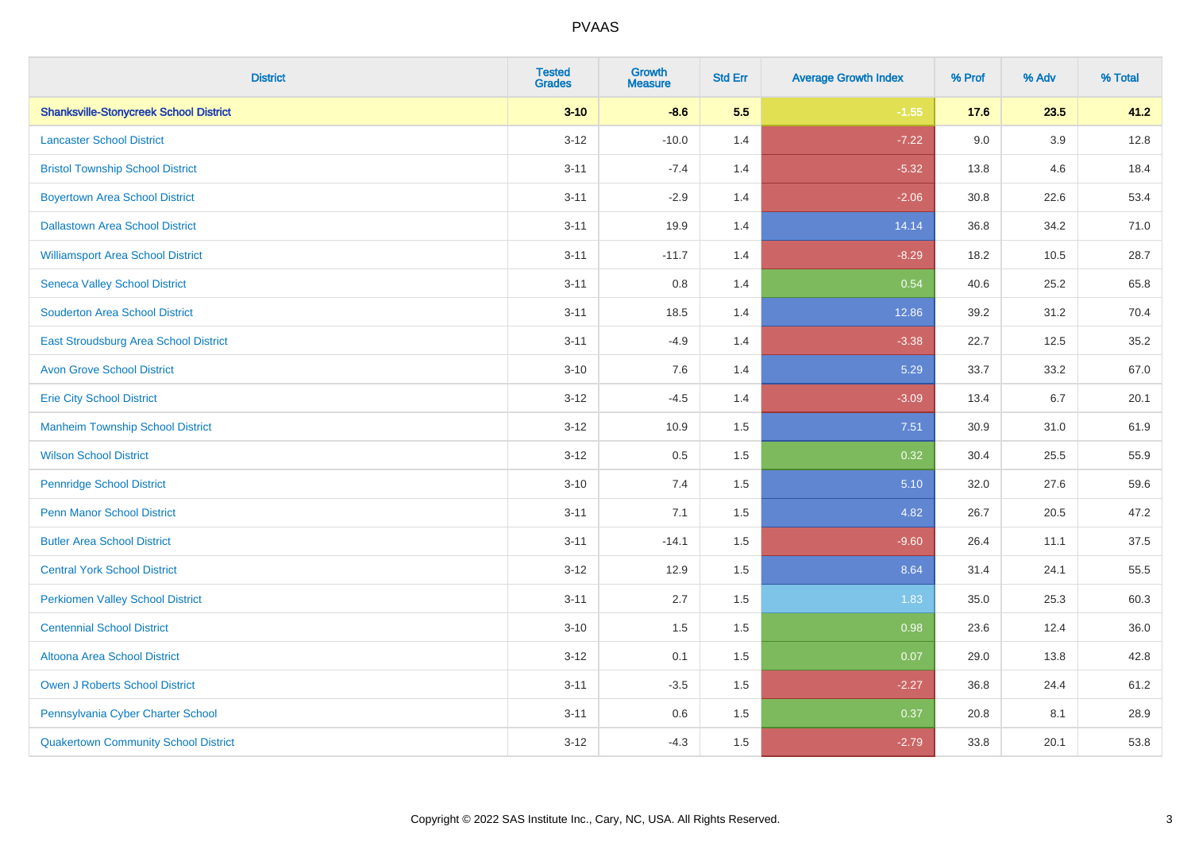| <b>District</b>                               | <b>Tested</b><br><b>Grades</b> | <b>Growth</b><br><b>Measure</b> | <b>Std Err</b> | <b>Average Growth Index</b> | % Prof | % Adv   | % Total |
|-----------------------------------------------|--------------------------------|---------------------------------|----------------|-----------------------------|--------|---------|---------|
| <b>Shanksville-Stonycreek School District</b> | $3 - 10$                       | $-8.6$                          | 5.5            | $-1.55$                     | 17.6   | 23.5    | 41.2    |
| <b>Lancaster School District</b>              | $3 - 12$                       | $-10.0$                         | 1.4            | $-7.22$                     | 9.0    | $3.9\,$ | 12.8    |
| <b>Bristol Township School District</b>       | $3 - 11$                       | $-7.4$                          | 1.4            | $-5.32$                     | 13.8   | 4.6     | 18.4    |
| <b>Boyertown Area School District</b>         | $3 - 11$                       | $-2.9$                          | 1.4            | $-2.06$                     | 30.8   | 22.6    | 53.4    |
| <b>Dallastown Area School District</b>        | $3 - 11$                       | 19.9                            | 1.4            | 14.14                       | 36.8   | 34.2    | 71.0    |
| <b>Williamsport Area School District</b>      | $3 - 11$                       | $-11.7$                         | 1.4            | $-8.29$                     | 18.2   | 10.5    | 28.7    |
| <b>Seneca Valley School District</b>          | $3 - 11$                       | 0.8                             | 1.4            | 0.54                        | 40.6   | 25.2    | 65.8    |
| <b>Souderton Area School District</b>         | $3 - 11$                       | 18.5                            | 1.4            | 12.86                       | 39.2   | 31.2    | 70.4    |
| East Stroudsburg Area School District         | $3 - 11$                       | $-4.9$                          | 1.4            | $-3.38$                     | 22.7   | 12.5    | 35.2    |
| <b>Avon Grove School District</b>             | $3 - 10$                       | 7.6                             | 1.4            | 5.29                        | 33.7   | 33.2    | 67.0    |
| <b>Erie City School District</b>              | $3 - 12$                       | $-4.5$                          | 1.4            | $-3.09$                     | 13.4   | 6.7     | 20.1    |
| <b>Manheim Township School District</b>       | $3 - 12$                       | 10.9                            | 1.5            | 7.51                        | 30.9   | 31.0    | 61.9    |
| <b>Wilson School District</b>                 | $3 - 12$                       | 0.5                             | 1.5            | 0.32                        | 30.4   | 25.5    | 55.9    |
| <b>Pennridge School District</b>              | $3 - 10$                       | 7.4                             | 1.5            | 5.10                        | 32.0   | 27.6    | 59.6    |
| <b>Penn Manor School District</b>             | $3 - 11$                       | 7.1                             | 1.5            | 4.82                        | 26.7   | 20.5    | 47.2    |
| <b>Butler Area School District</b>            | $3 - 11$                       | $-14.1$                         | 1.5            | $-9.60$                     | 26.4   | 11.1    | 37.5    |
| <b>Central York School District</b>           | $3 - 12$                       | 12.9                            | 1.5            | 8.64                        | 31.4   | 24.1    | 55.5    |
| <b>Perkiomen Valley School District</b>       | $3 - 11$                       | 2.7                             | 1.5            | 1.83                        | 35.0   | 25.3    | 60.3    |
| <b>Centennial School District</b>             | $3 - 10$                       | 1.5                             | 1.5            | 0.98                        | 23.6   | 12.4    | 36.0    |
| Altoona Area School District                  | $3 - 12$                       | 0.1                             | 1.5            | 0.07                        | 29.0   | 13.8    | 42.8    |
| Owen J Roberts School District                | $3 - 11$                       | $-3.5$                          | 1.5            | $-2.27$                     | 36.8   | 24.4    | 61.2    |
| Pennsylvania Cyber Charter School             | $3 - 11$                       | 0.6                             | 1.5            | 0.37                        | 20.8   | 8.1     | 28.9    |
| <b>Quakertown Community School District</b>   | $3 - 12$                       | $-4.3$                          | 1.5            | $-2.79$                     | 33.8   | 20.1    | 53.8    |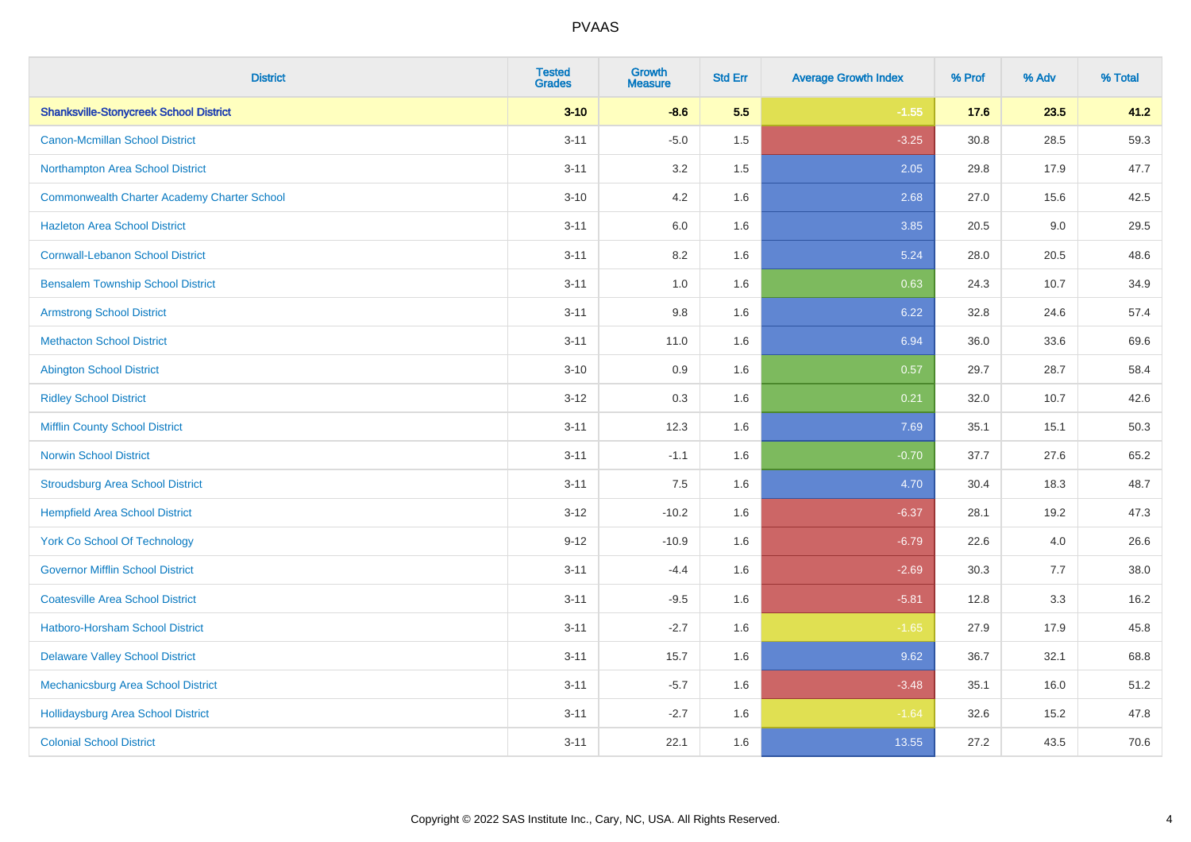| <b>District</b>                                    | <b>Tested</b><br><b>Grades</b> | <b>Growth</b><br><b>Measure</b> | <b>Std Err</b> | <b>Average Growth Index</b> | % Prof | % Adv | % Total |
|----------------------------------------------------|--------------------------------|---------------------------------|----------------|-----------------------------|--------|-------|---------|
| <b>Shanksville-Stonycreek School District</b>      | $3 - 10$                       | $-8.6$                          | 5.5            | $-1.55$                     | 17.6   | 23.5  | 41.2    |
| <b>Canon-Mcmillan School District</b>              | $3 - 11$                       | $-5.0$                          | $1.5\,$        | $-3.25$                     | 30.8   | 28.5  | 59.3    |
| Northampton Area School District                   | $3 - 11$                       | 3.2                             | 1.5            | 2.05                        | 29.8   | 17.9  | 47.7    |
| <b>Commonwealth Charter Academy Charter School</b> | $3 - 10$                       | 4.2                             | 1.6            | 2.68                        | 27.0   | 15.6  | 42.5    |
| <b>Hazleton Area School District</b>               | $3 - 11$                       | 6.0                             | 1.6            | 3.85                        | 20.5   | 9.0   | 29.5    |
| <b>Cornwall-Lebanon School District</b>            | $3 - 11$                       | 8.2                             | 1.6            | 5.24                        | 28.0   | 20.5  | 48.6    |
| <b>Bensalem Township School District</b>           | $3 - 11$                       | $1.0$                           | 1.6            | 0.63                        | 24.3   | 10.7  | 34.9    |
| <b>Armstrong School District</b>                   | $3 - 11$                       | $9.8\,$                         | 1.6            | 6.22                        | 32.8   | 24.6  | 57.4    |
| <b>Methacton School District</b>                   | $3 - 11$                       | 11.0                            | 1.6            | 6.94                        | 36.0   | 33.6  | 69.6    |
| <b>Abington School District</b>                    | $3 - 10$                       | 0.9                             | 1.6            | 0.57                        | 29.7   | 28.7  | 58.4    |
| <b>Ridley School District</b>                      | $3 - 12$                       | 0.3                             | 1.6            | 0.21                        | 32.0   | 10.7  | 42.6    |
| <b>Mifflin County School District</b>              | $3 - 11$                       | 12.3                            | 1.6            | 7.69                        | 35.1   | 15.1  | 50.3    |
| <b>Norwin School District</b>                      | $3 - 11$                       | $-1.1$                          | 1.6            | $-0.70$                     | 37.7   | 27.6  | 65.2    |
| <b>Stroudsburg Area School District</b>            | $3 - 11$                       | 7.5                             | 1.6            | 4.70                        | 30.4   | 18.3  | 48.7    |
| <b>Hempfield Area School District</b>              | $3 - 12$                       | $-10.2$                         | 1.6            | $-6.37$                     | 28.1   | 19.2  | 47.3    |
| <b>York Co School Of Technology</b>                | $9 - 12$                       | $-10.9$                         | 1.6            | $-6.79$                     | 22.6   | 4.0   | 26.6    |
| <b>Governor Mifflin School District</b>            | $3 - 11$                       | $-4.4$                          | 1.6            | $-2.69$                     | 30.3   | 7.7   | 38.0    |
| <b>Coatesville Area School District</b>            | $3 - 11$                       | $-9.5$                          | 1.6            | $-5.81$                     | 12.8   | 3.3   | 16.2    |
| <b>Hatboro-Horsham School District</b>             | $3 - 11$                       | $-2.7$                          | 1.6            | $-1.65$                     | 27.9   | 17.9  | 45.8    |
| <b>Delaware Valley School District</b>             | $3 - 11$                       | 15.7                            | 1.6            | 9.62                        | 36.7   | 32.1  | 68.8    |
| Mechanicsburg Area School District                 | $3 - 11$                       | $-5.7$                          | 1.6            | $-3.48$                     | 35.1   | 16.0  | 51.2    |
| <b>Hollidaysburg Area School District</b>          | $3 - 11$                       | $-2.7$                          | 1.6            | $-1.64$                     | 32.6   | 15.2  | 47.8    |
| <b>Colonial School District</b>                    | $3 - 11$                       | 22.1                            | 1.6            | 13.55                       | 27.2   | 43.5  | 70.6    |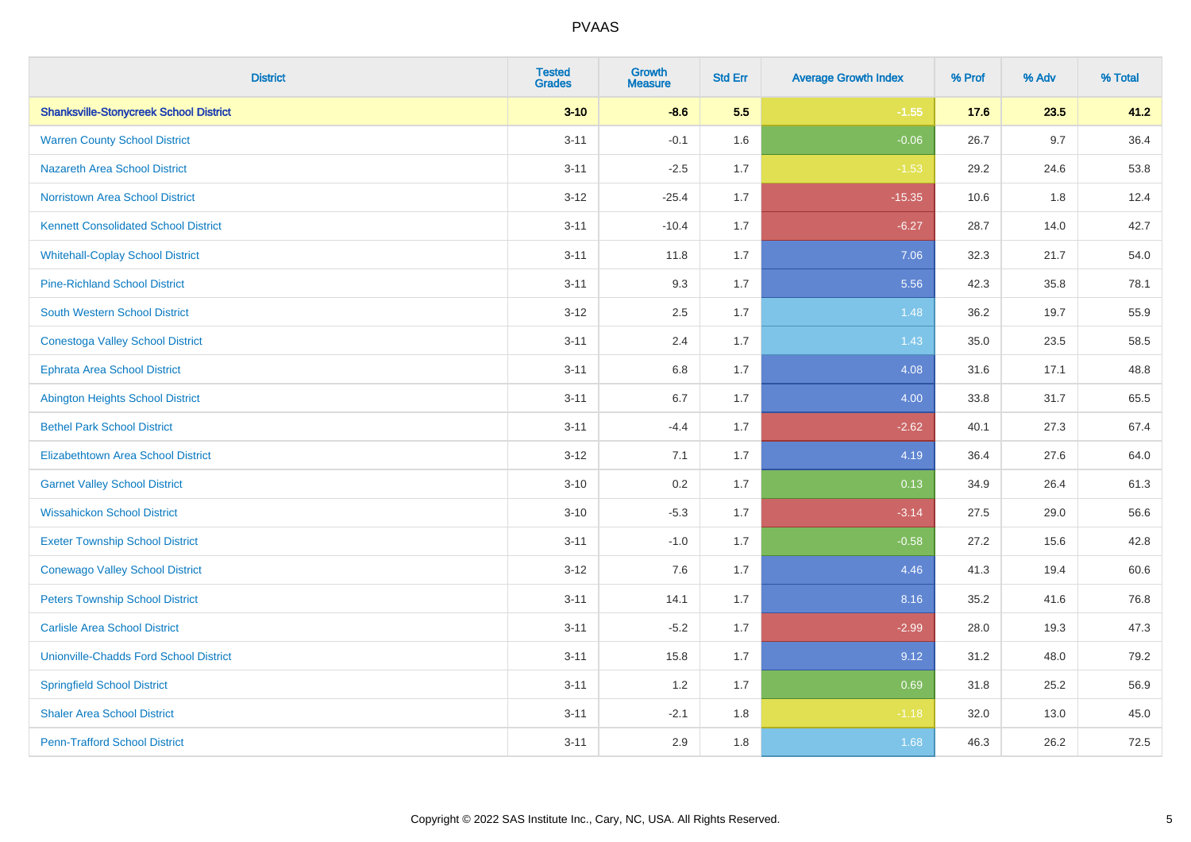| <b>District</b>                               | <b>Tested</b><br><b>Grades</b> | <b>Growth</b><br><b>Measure</b> | <b>Std Err</b> | <b>Average Growth Index</b> | % Prof | % Adv | % Total |
|-----------------------------------------------|--------------------------------|---------------------------------|----------------|-----------------------------|--------|-------|---------|
| <b>Shanksville-Stonycreek School District</b> | $3 - 10$                       | $-8.6$                          | 5.5            | $-1.55$                     | 17.6   | 23.5  | 41.2    |
| <b>Warren County School District</b>          | $3 - 11$                       | $-0.1$                          | 1.6            | $-0.06$                     | 26.7   | 9.7   | 36.4    |
| <b>Nazareth Area School District</b>          | $3 - 11$                       | $-2.5$                          | 1.7            | $-1.53$                     | 29.2   | 24.6  | 53.8    |
| <b>Norristown Area School District</b>        | $3 - 12$                       | $-25.4$                         | 1.7            | $-15.35$                    | 10.6   | 1.8   | 12.4    |
| <b>Kennett Consolidated School District</b>   | $3 - 11$                       | $-10.4$                         | 1.7            | $-6.27$                     | 28.7   | 14.0  | 42.7    |
| <b>Whitehall-Coplay School District</b>       | $3 - 11$                       | 11.8                            | 1.7            | 7.06                        | 32.3   | 21.7  | 54.0    |
| <b>Pine-Richland School District</b>          | $3 - 11$                       | 9.3                             | 1.7            | 5.56                        | 42.3   | 35.8  | 78.1    |
| <b>South Western School District</b>          | $3 - 12$                       | 2.5                             | 1.7            | 1.48                        | 36.2   | 19.7  | 55.9    |
| <b>Conestoga Valley School District</b>       | $3 - 11$                       | 2.4                             | 1.7            | 1.43                        | 35.0   | 23.5  | 58.5    |
| <b>Ephrata Area School District</b>           | $3 - 11$                       | 6.8                             | 1.7            | 4.08                        | 31.6   | 17.1  | 48.8    |
| <b>Abington Heights School District</b>       | $3 - 11$                       | 6.7                             | 1.7            | 4.00                        | 33.8   | 31.7  | 65.5    |
| <b>Bethel Park School District</b>            | $3 - 11$                       | $-4.4$                          | 1.7            | $-2.62$                     | 40.1   | 27.3  | 67.4    |
| <b>Elizabethtown Area School District</b>     | $3 - 12$                       | 7.1                             | 1.7            | 4.19                        | 36.4   | 27.6  | 64.0    |
| <b>Garnet Valley School District</b>          | $3 - 10$                       | 0.2                             | 1.7            | 0.13                        | 34.9   | 26.4  | 61.3    |
| <b>Wissahickon School District</b>            | $3 - 10$                       | $-5.3$                          | 1.7            | $-3.14$                     | 27.5   | 29.0  | 56.6    |
| <b>Exeter Township School District</b>        | $3 - 11$                       | $-1.0$                          | 1.7            | $-0.58$                     | 27.2   | 15.6  | 42.8    |
| <b>Conewago Valley School District</b>        | $3 - 12$                       | 7.6                             | 1.7            | 4.46                        | 41.3   | 19.4  | 60.6    |
| <b>Peters Township School District</b>        | $3 - 11$                       | 14.1                            | 1.7            | 8.16                        | 35.2   | 41.6  | 76.8    |
| <b>Carlisle Area School District</b>          | $3 - 11$                       | $-5.2$                          | 1.7            | $-2.99$                     | 28.0   | 19.3  | 47.3    |
| <b>Unionville-Chadds Ford School District</b> | $3 - 11$                       | 15.8                            | 1.7            | 9.12                        | 31.2   | 48.0  | 79.2    |
| <b>Springfield School District</b>            | $3 - 11$                       | 1.2                             | 1.7            | 0.69                        | 31.8   | 25.2  | 56.9    |
| <b>Shaler Area School District</b>            | $3 - 11$                       | $-2.1$                          | 1.8            | $-1.18$                     | 32.0   | 13.0  | 45.0    |
| <b>Penn-Trafford School District</b>          | $3 - 11$                       | 2.9                             | 1.8            | 1.68                        | 46.3   | 26.2  | 72.5    |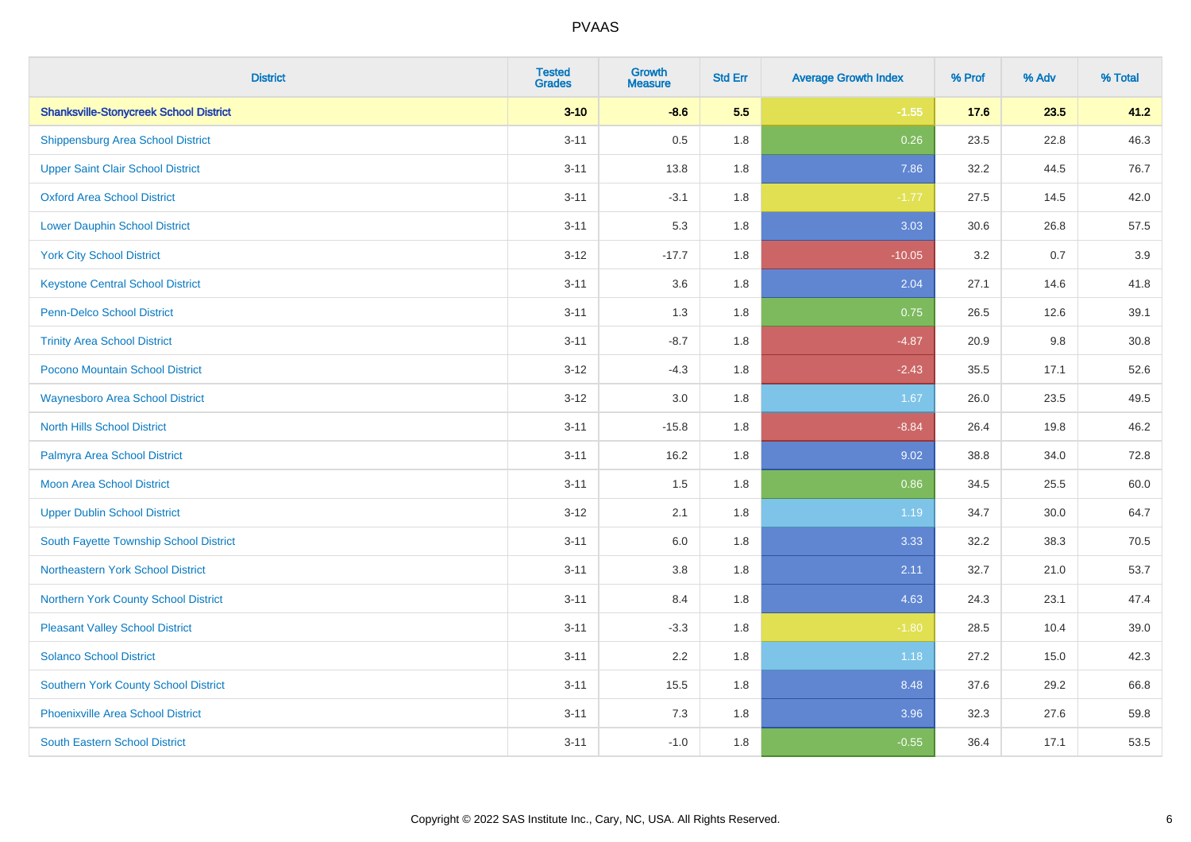| <b>District</b>                               | <b>Tested</b><br><b>Grades</b> | <b>Growth</b><br><b>Measure</b> | <b>Std Err</b> | <b>Average Growth Index</b> | % Prof | % Adv | % Total |
|-----------------------------------------------|--------------------------------|---------------------------------|----------------|-----------------------------|--------|-------|---------|
| <b>Shanksville-Stonycreek School District</b> | $3 - 10$                       | $-8.6$                          | 5.5            | $-1.55$                     | 17.6   | 23.5  | 41.2    |
| <b>Shippensburg Area School District</b>      | $3 - 11$                       | 0.5                             | 1.8            | 0.26                        | 23.5   | 22.8  | 46.3    |
| <b>Upper Saint Clair School District</b>      | $3 - 11$                       | 13.8                            | 1.8            | 7.86                        | 32.2   | 44.5  | 76.7    |
| <b>Oxford Area School District</b>            | $3 - 11$                       | $-3.1$                          | 1.8            | $-1.77$                     | 27.5   | 14.5  | 42.0    |
| <b>Lower Dauphin School District</b>          | $3 - 11$                       | 5.3                             | 1.8            | 3.03                        | 30.6   | 26.8  | 57.5    |
| <b>York City School District</b>              | $3 - 12$                       | $-17.7$                         | 1.8            | $-10.05$                    | 3.2    | 0.7   | 3.9     |
| <b>Keystone Central School District</b>       | $3 - 11$                       | 3.6                             | 1.8            | 2.04                        | 27.1   | 14.6  | 41.8    |
| <b>Penn-Delco School District</b>             | $3 - 11$                       | 1.3                             | 1.8            | 0.75                        | 26.5   | 12.6  | 39.1    |
| <b>Trinity Area School District</b>           | $3 - 11$                       | $-8.7$                          | 1.8            | $-4.87$                     | 20.9   | 9.8   | 30.8    |
| Pocono Mountain School District               | $3 - 12$                       | $-4.3$                          | 1.8            | $-2.43$                     | 35.5   | 17.1  | 52.6    |
| <b>Waynesboro Area School District</b>        | $3 - 12$                       | 3.0                             | 1.8            | 1.67                        | 26.0   | 23.5  | 49.5    |
| <b>North Hills School District</b>            | $3 - 11$                       | $-15.8$                         | 1.8            | $-8.84$                     | 26.4   | 19.8  | 46.2    |
| Palmyra Area School District                  | $3 - 11$                       | 16.2                            | 1.8            | 9.02                        | 38.8   | 34.0  | 72.8    |
| <b>Moon Area School District</b>              | $3 - 11$                       | 1.5                             | 1.8            | 0.86                        | 34.5   | 25.5  | 60.0    |
| <b>Upper Dublin School District</b>           | $3 - 12$                       | 2.1                             | 1.8            | 1.19                        | 34.7   | 30.0  | 64.7    |
| South Fayette Township School District        | $3 - 11$                       | 6.0                             | 1.8            | 3.33                        | 32.2   | 38.3  | 70.5    |
| Northeastern York School District             | $3 - 11$                       | $3.8\,$                         | 1.8            | 2.11                        | 32.7   | 21.0  | 53.7    |
| Northern York County School District          | $3 - 11$                       | 8.4                             | 1.8            | 4.63                        | 24.3   | 23.1  | 47.4    |
| <b>Pleasant Valley School District</b>        | $3 - 11$                       | $-3.3$                          | 1.8            | $-1.80$                     | 28.5   | 10.4  | 39.0    |
| <b>Solanco School District</b>                | $3 - 11$                       | 2.2                             | 1.8            | 1.18                        | 27.2   | 15.0  | 42.3    |
| <b>Southern York County School District</b>   | $3 - 11$                       | 15.5                            | 1.8            | 8.48                        | 37.6   | 29.2  | 66.8    |
| Phoenixville Area School District             | $3 - 11$                       | 7.3                             | 1.8            | 3.96                        | 32.3   | 27.6  | 59.8    |
| <b>South Eastern School District</b>          | $3 - 11$                       | $-1.0$                          | 1.8            | $-0.55$                     | 36.4   | 17.1  | 53.5    |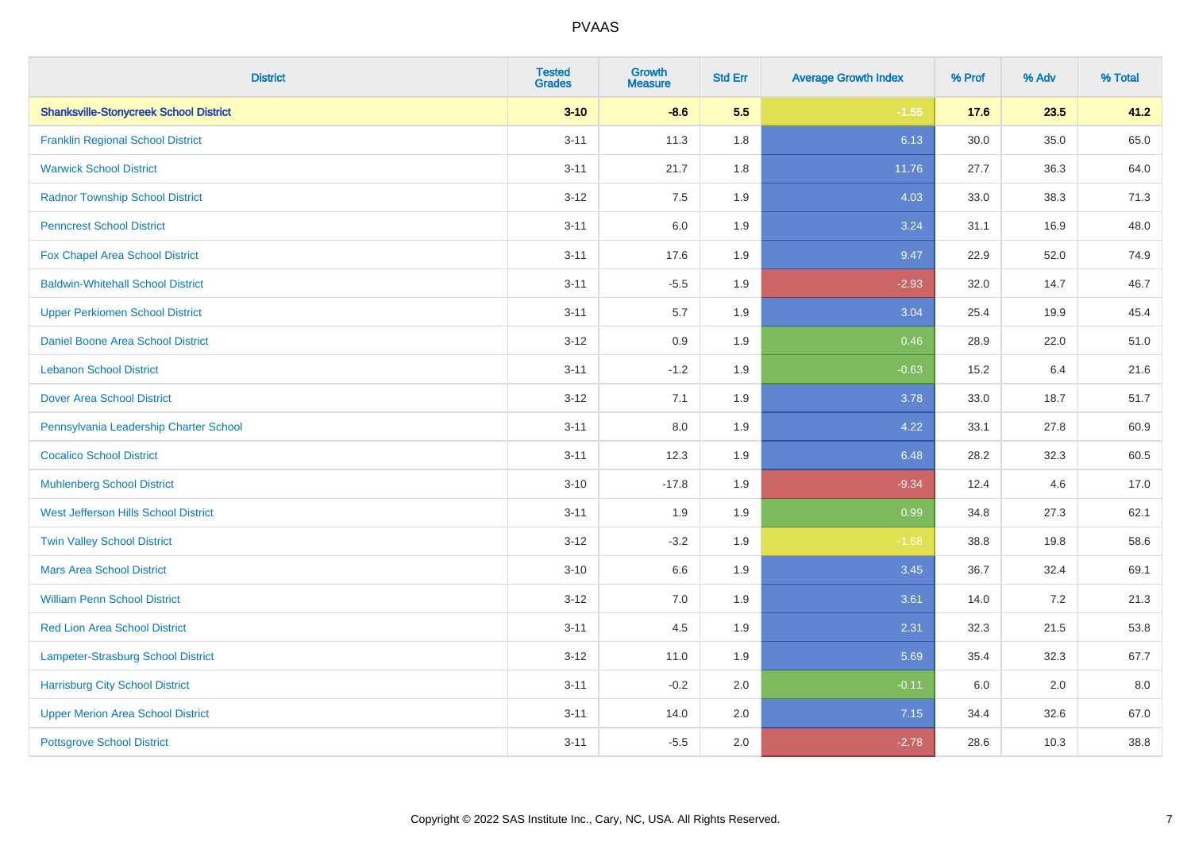| <b>District</b>                               | <b>Tested</b><br><b>Grades</b> | Growth<br><b>Measure</b> | <b>Std Err</b> | <b>Average Growth Index</b> | % Prof | % Adv | % Total |
|-----------------------------------------------|--------------------------------|--------------------------|----------------|-----------------------------|--------|-------|---------|
| <b>Shanksville-Stonycreek School District</b> | $3 - 10$                       | $-8.6$                   | 5.5            | $-1.55$                     | 17.6   | 23.5  | 41.2    |
| <b>Franklin Regional School District</b>      | $3 - 11$                       | 11.3                     | 1.8            | 6.13                        | 30.0   | 35.0  | 65.0    |
| <b>Warwick School District</b>                | $3 - 11$                       | 21.7                     | 1.8            | 11.76                       | 27.7   | 36.3  | 64.0    |
| <b>Radnor Township School District</b>        | $3 - 12$                       | 7.5                      | 1.9            | 4.03                        | 33.0   | 38.3  | 71.3    |
| <b>Penncrest School District</b>              | $3 - 11$                       | 6.0                      | 1.9            | 3.24                        | 31.1   | 16.9  | 48.0    |
| Fox Chapel Area School District               | $3 - 11$                       | 17.6                     | 1.9            | 9.47                        | 22.9   | 52.0  | 74.9    |
| <b>Baldwin-Whitehall School District</b>      | $3 - 11$                       | $-5.5$                   | 1.9            | $-2.93$                     | 32.0   | 14.7  | 46.7    |
| <b>Upper Perkiomen School District</b>        | $3 - 11$                       | 5.7                      | 1.9            | 3.04                        | 25.4   | 19.9  | 45.4    |
| <b>Daniel Boone Area School District</b>      | $3 - 12$                       | 0.9                      | 1.9            | 0.46                        | 28.9   | 22.0  | 51.0    |
| <b>Lebanon School District</b>                | $3 - 11$                       | $-1.2$                   | 1.9            | $-0.63$                     | 15.2   | 6.4   | 21.6    |
| <b>Dover Area School District</b>             | $3 - 12$                       | 7.1                      | 1.9            | 3.78                        | 33.0   | 18.7  | 51.7    |
| Pennsylvania Leadership Charter School        | $3 - 11$                       | 8.0                      | 1.9            | 4.22                        | 33.1   | 27.8  | 60.9    |
| <b>Cocalico School District</b>               | $3 - 11$                       | 12.3                     | 1.9            | 6.48                        | 28.2   | 32.3  | 60.5    |
| <b>Muhlenberg School District</b>             | $3 - 10$                       | $-17.8$                  | 1.9            | $-9.34$                     | 12.4   | 4.6   | 17.0    |
| West Jefferson Hills School District          | $3 - 11$                       | 1.9                      | 1.9            | 0.99                        | 34.8   | 27.3  | 62.1    |
| <b>Twin Valley School District</b>            | $3 - 12$                       | $-3.2$                   | 1.9            | $-1.68$                     | 38.8   | 19.8  | 58.6    |
| <b>Mars Area School District</b>              | $3 - 10$                       | 6.6                      | 1.9            | 3.45                        | 36.7   | 32.4  | 69.1    |
| <b>William Penn School District</b>           | $3 - 12$                       | 7.0                      | 1.9            | 3.61                        | 14.0   | 7.2   | 21.3    |
| <b>Red Lion Area School District</b>          | $3 - 11$                       | 4.5                      | 1.9            | 2.31                        | 32.3   | 21.5  | 53.8    |
| Lampeter-Strasburg School District            | $3 - 12$                       | 11.0                     | 1.9            | 5.69                        | 35.4   | 32.3  | 67.7    |
| <b>Harrisburg City School District</b>        | $3 - 11$                       | $-0.2$                   | 2.0            | $-0.11$                     | 6.0    | 2.0   | 8.0     |
| <b>Upper Merion Area School District</b>      | $3 - 11$                       | 14.0                     | 2.0            | 7.15                        | 34.4   | 32.6  | 67.0    |
| <b>Pottsgrove School District</b>             | $3 - 11$                       | $-5.5$                   | 2.0            | $-2.78$                     | 28.6   | 10.3  | 38.8    |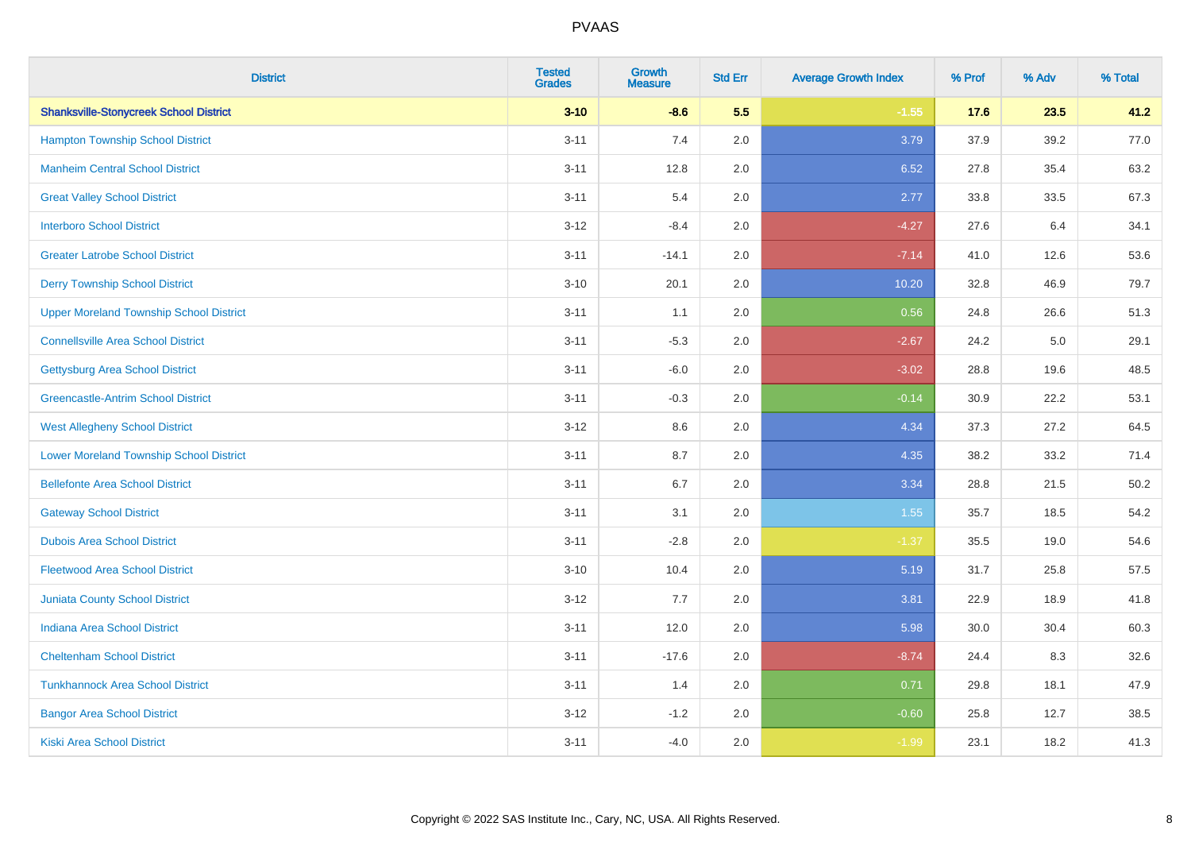| <b>District</b>                                | <b>Tested</b><br><b>Grades</b> | <b>Growth</b><br><b>Measure</b> | <b>Std Err</b> | <b>Average Growth Index</b> | % Prof | % Adv | % Total |
|------------------------------------------------|--------------------------------|---------------------------------|----------------|-----------------------------|--------|-------|---------|
| <b>Shanksville-Stonycreek School District</b>  | $3 - 10$                       | $-8.6$                          | 5.5            | $-1.55$                     | 17.6   | 23.5  | 41.2    |
| <b>Hampton Township School District</b>        | $3 - 11$                       | 7.4                             | 2.0            | 3.79                        | 37.9   | 39.2  | 77.0    |
| <b>Manheim Central School District</b>         | $3 - 11$                       | 12.8                            | 2.0            | 6.52                        | 27.8   | 35.4  | 63.2    |
| <b>Great Valley School District</b>            | $3 - 11$                       | 5.4                             | 2.0            | 2.77                        | 33.8   | 33.5  | 67.3    |
| <b>Interboro School District</b>               | $3 - 12$                       | $-8.4$                          | 2.0            | $-4.27$                     | 27.6   | 6.4   | 34.1    |
| <b>Greater Latrobe School District</b>         | $3 - 11$                       | $-14.1$                         | 2.0            | $-7.14$                     | 41.0   | 12.6  | 53.6    |
| <b>Derry Township School District</b>          | $3 - 10$                       | 20.1                            | 2.0            | 10.20                       | 32.8   | 46.9  | 79.7    |
| <b>Upper Moreland Township School District</b> | $3 - 11$                       | 1.1                             | 2.0            | 0.56                        | 24.8   | 26.6  | 51.3    |
| <b>Connellsville Area School District</b>      | $3 - 11$                       | $-5.3$                          | 2.0            | $-2.67$                     | 24.2   | 5.0   | 29.1    |
| <b>Gettysburg Area School District</b>         | $3 - 11$                       | $-6.0$                          | 2.0            | $-3.02$                     | 28.8   | 19.6  | 48.5    |
| <b>Greencastle-Antrim School District</b>      | $3 - 11$                       | $-0.3$                          | 2.0            | $-0.14$                     | 30.9   | 22.2  | 53.1    |
| <b>West Allegheny School District</b>          | $3 - 12$                       | 8.6                             | 2.0            | 4.34                        | 37.3   | 27.2  | 64.5    |
| <b>Lower Moreland Township School District</b> | $3 - 11$                       | 8.7                             | 2.0            | 4.35                        | 38.2   | 33.2  | 71.4    |
| <b>Bellefonte Area School District</b>         | $3 - 11$                       | $6.7\,$                         | 2.0            | 3.34                        | 28.8   | 21.5  | 50.2    |
| <b>Gateway School District</b>                 | $3 - 11$                       | 3.1                             | 2.0            | 1.55                        | 35.7   | 18.5  | 54.2    |
| <b>Dubois Area School District</b>             | $3 - 11$                       | $-2.8$                          | 2.0            | $-1.37$                     | 35.5   | 19.0  | 54.6    |
| <b>Fleetwood Area School District</b>          | $3 - 10$                       | 10.4                            | 2.0            | 5.19                        | 31.7   | 25.8  | 57.5    |
| <b>Juniata County School District</b>          | $3 - 12$                       | 7.7                             | 2.0            | 3.81                        | 22.9   | 18.9  | 41.8    |
| <b>Indiana Area School District</b>            | $3 - 11$                       | 12.0                            | 2.0            | 5.98                        | 30.0   | 30.4  | 60.3    |
| <b>Cheltenham School District</b>              | $3 - 11$                       | $-17.6$                         | 2.0            | $-8.74$                     | 24.4   | 8.3   | 32.6    |
| <b>Tunkhannock Area School District</b>        | $3 - 11$                       | 1.4                             | 2.0            | 0.71                        | 29.8   | 18.1  | 47.9    |
| <b>Bangor Area School District</b>             | $3-12$                         | $-1.2$                          | 2.0            | $-0.60$                     | 25.8   | 12.7  | 38.5    |
| <b>Kiski Area School District</b>              | $3 - 11$                       | $-4.0$                          | 2.0            | $-1.99$                     | 23.1   | 18.2  | 41.3    |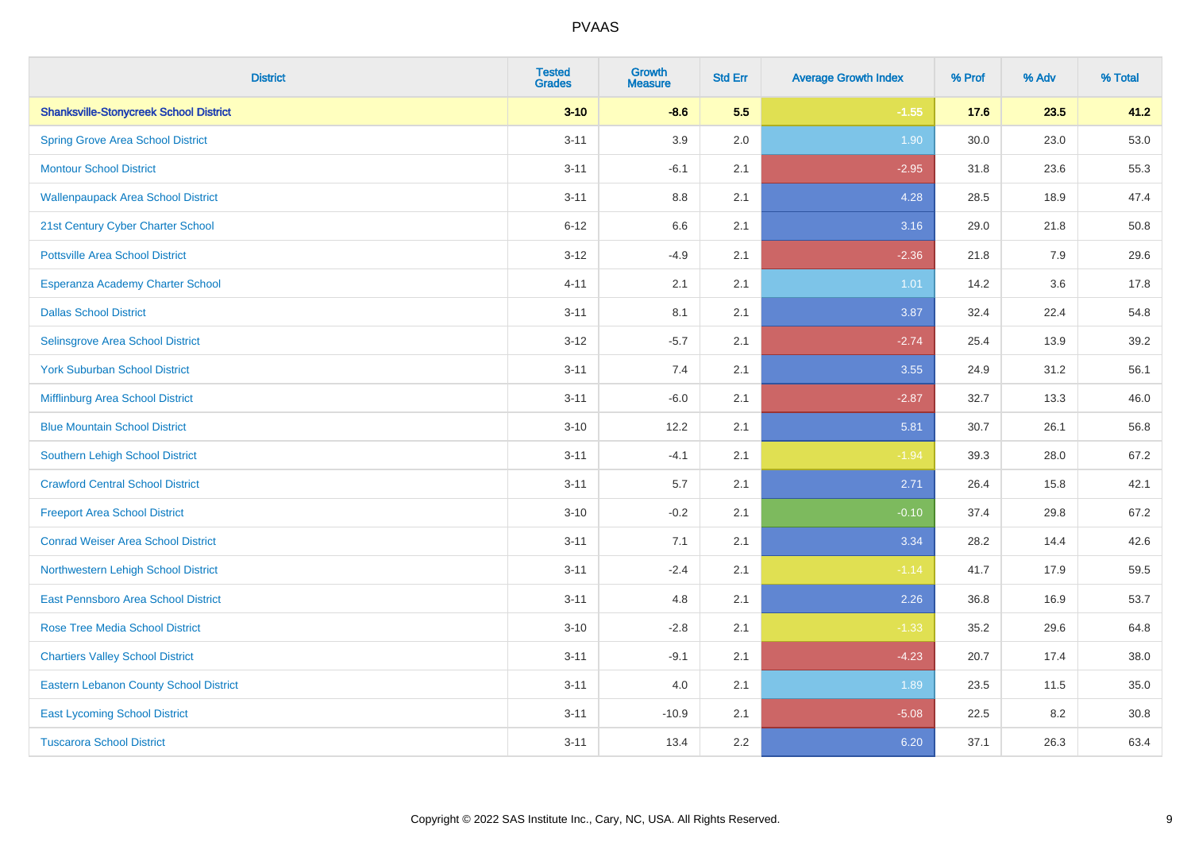| <b>District</b>                               | <b>Tested</b><br><b>Grades</b> | <b>Growth</b><br><b>Measure</b> | <b>Std Err</b> | <b>Average Growth Index</b> | % Prof | % Adv | % Total |
|-----------------------------------------------|--------------------------------|---------------------------------|----------------|-----------------------------|--------|-------|---------|
| <b>Shanksville-Stonycreek School District</b> | $3 - 10$                       | $-8.6$                          | 5.5            | $-1.55$                     | 17.6   | 23.5  | 41.2    |
| <b>Spring Grove Area School District</b>      | $3 - 11$                       | 3.9                             | 2.0            | 1.90                        | 30.0   | 23.0  | 53.0    |
| <b>Montour School District</b>                | $3 - 11$                       | $-6.1$                          | 2.1            | $-2.95$                     | 31.8   | 23.6  | 55.3    |
| <b>Wallenpaupack Area School District</b>     | $3 - 11$                       | $8.8\,$                         | 2.1            | 4.28                        | 28.5   | 18.9  | 47.4    |
| 21st Century Cyber Charter School             | $6 - 12$                       | 6.6                             | 2.1            | 3.16                        | 29.0   | 21.8  | 50.8    |
| <b>Pottsville Area School District</b>        | $3-12$                         | $-4.9$                          | 2.1            | $-2.36$                     | 21.8   | 7.9   | 29.6    |
| Esperanza Academy Charter School              | $4 - 11$                       | 2.1                             | 2.1            | 1.01                        | 14.2   | 3.6   | 17.8    |
| <b>Dallas School District</b>                 | $3 - 11$                       | 8.1                             | 2.1            | 3.87                        | 32.4   | 22.4  | 54.8    |
| Selinsgrove Area School District              | $3 - 12$                       | $-5.7$                          | 2.1            | $-2.74$                     | 25.4   | 13.9  | 39.2    |
| <b>York Suburban School District</b>          | $3 - 11$                       | 7.4                             | 2.1            | 3.55                        | 24.9   | 31.2  | 56.1    |
| Mifflinburg Area School District              | $3 - 11$                       | $-6.0$                          | 2.1            | $-2.87$                     | 32.7   | 13.3  | 46.0    |
| <b>Blue Mountain School District</b>          | $3 - 10$                       | 12.2                            | 2.1            | 5.81                        | 30.7   | 26.1  | 56.8    |
| <b>Southern Lehigh School District</b>        | $3 - 11$                       | $-4.1$                          | 2.1            | $-1.94$                     | 39.3   | 28.0  | 67.2    |
| <b>Crawford Central School District</b>       | $3 - 11$                       | 5.7                             | 2.1            | 2.71                        | 26.4   | 15.8  | 42.1    |
| <b>Freeport Area School District</b>          | $3 - 10$                       | $-0.2$                          | 2.1            | $-0.10$                     | 37.4   | 29.8  | 67.2    |
| <b>Conrad Weiser Area School District</b>     | $3 - 11$                       | 7.1                             | 2.1            | 3.34                        | 28.2   | 14.4  | 42.6    |
| Northwestern Lehigh School District           | $3 - 11$                       | $-2.4$                          | 2.1            | $-1.14$                     | 41.7   | 17.9  | 59.5    |
| East Pennsboro Area School District           | $3 - 11$                       | 4.8                             | 2.1            | 2.26                        | 36.8   | 16.9  | 53.7    |
| Rose Tree Media School District               | $3 - 10$                       | $-2.8$                          | 2.1            | $-1.33$                     | 35.2   | 29.6  | 64.8    |
| <b>Chartiers Valley School District</b>       | $3 - 11$                       | $-9.1$                          | 2.1            | $-4.23$                     | 20.7   | 17.4  | 38.0    |
| <b>Eastern Lebanon County School District</b> | $3 - 11$                       | 4.0                             | 2.1            | 1.89                        | 23.5   | 11.5  | 35.0    |
| <b>East Lycoming School District</b>          | $3 - 11$                       | $-10.9$                         | 2.1            | $-5.08$                     | 22.5   | 8.2   | 30.8    |
| <b>Tuscarora School District</b>              | $3 - 11$                       | 13.4                            | 2.2            | 6.20                        | 37.1   | 26.3  | 63.4    |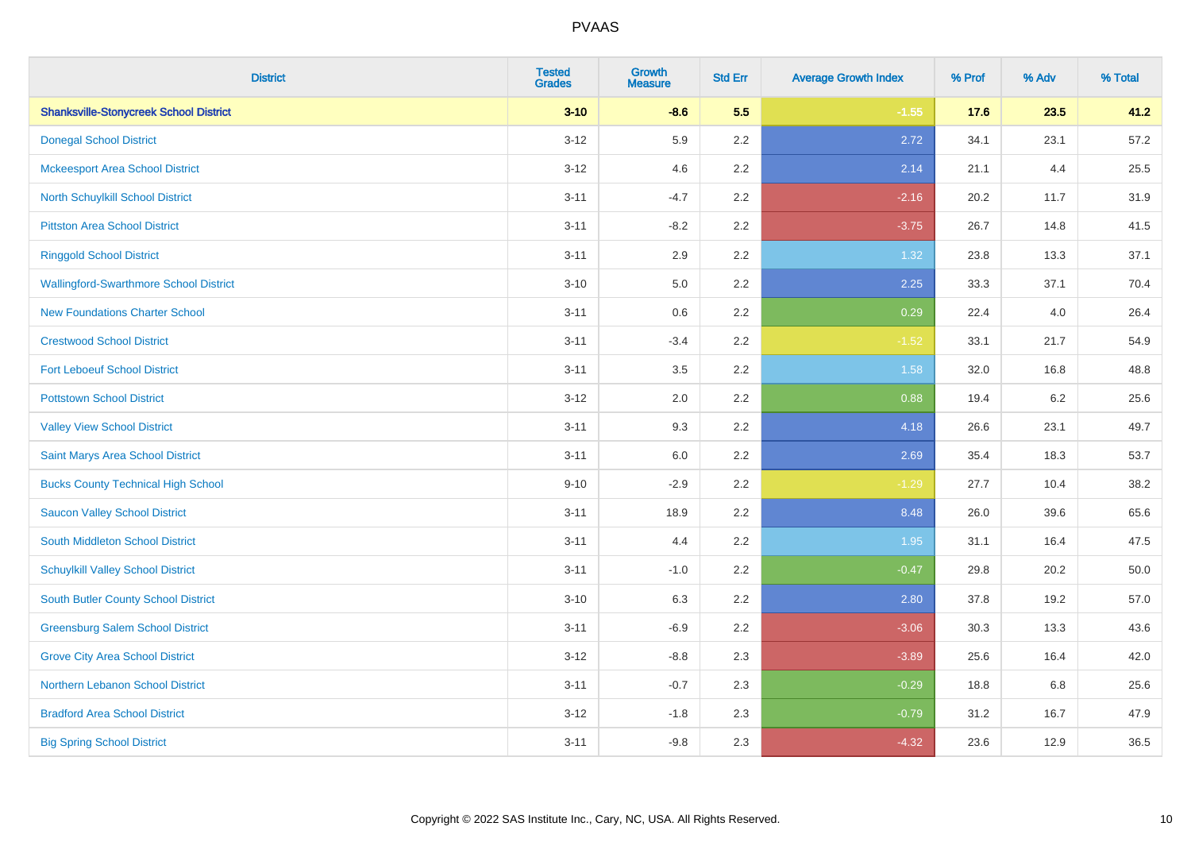| <b>District</b>                               | <b>Tested</b><br><b>Grades</b> | <b>Growth</b><br><b>Measure</b> | <b>Std Err</b> | <b>Average Growth Index</b> | % Prof | % Adv | % Total |
|-----------------------------------------------|--------------------------------|---------------------------------|----------------|-----------------------------|--------|-------|---------|
| <b>Shanksville-Stonycreek School District</b> | $3 - 10$                       | $-8.6$                          | 5.5            | $-1.55$                     | 17.6   | 23.5  | 41.2    |
| <b>Donegal School District</b>                | $3 - 12$                       | 5.9                             | 2.2            | 2.72                        | 34.1   | 23.1  | 57.2    |
| <b>Mckeesport Area School District</b>        | $3 - 12$                       | 4.6                             | 2.2            | 2.14                        | 21.1   | 4.4   | 25.5    |
| North Schuylkill School District              | $3 - 11$                       | $-4.7$                          | 2.2            | $-2.16$                     | 20.2   | 11.7  | 31.9    |
| <b>Pittston Area School District</b>          | $3 - 11$                       | $-8.2$                          | 2.2            | $-3.75$                     | 26.7   | 14.8  | 41.5    |
| <b>Ringgold School District</b>               | $3 - 11$                       | 2.9                             | 2.2            | 1.32                        | 23.8   | 13.3  | 37.1    |
| <b>Wallingford-Swarthmore School District</b> | $3 - 10$                       | 5.0                             | 2.2            | 2.25                        | 33.3   | 37.1  | 70.4    |
| <b>New Foundations Charter School</b>         | $3 - 11$                       | 0.6                             | 2.2            | 0.29                        | 22.4   | 4.0   | 26.4    |
| <b>Crestwood School District</b>              | $3 - 11$                       | $-3.4$                          | 2.2            | $-1.52$                     | 33.1   | 21.7  | 54.9    |
| <b>Fort Leboeuf School District</b>           | $3 - 11$                       | 3.5                             | 2.2            | 1.58                        | 32.0   | 16.8  | 48.8    |
| <b>Pottstown School District</b>              | $3 - 12$                       | 2.0                             | 2.2            | 0.88                        | 19.4   | 6.2   | 25.6    |
| <b>Valley View School District</b>            | $3 - 11$                       | 9.3                             | 2.2            | 4.18                        | 26.6   | 23.1  | 49.7    |
| Saint Marys Area School District              | $3 - 11$                       | $6.0\,$                         | 2.2            | 2.69                        | 35.4   | 18.3  | 53.7    |
| <b>Bucks County Technical High School</b>     | $9 - 10$                       | $-2.9$                          | 2.2            | $-1.29$                     | 27.7   | 10.4  | 38.2    |
| <b>Saucon Valley School District</b>          | $3 - 11$                       | 18.9                            | 2.2            | 8.48                        | 26.0   | 39.6  | 65.6    |
| South Middleton School District               | $3 - 11$                       | 4.4                             | 2.2            | 1.95                        | 31.1   | 16.4  | 47.5    |
| <b>Schuylkill Valley School District</b>      | $3 - 11$                       | $-1.0$                          | 2.2            | $-0.47$                     | 29.8   | 20.2  | 50.0    |
| South Butler County School District           | $3 - 10$                       | 6.3                             | 2.2            | 2.80                        | 37.8   | 19.2  | 57.0    |
| <b>Greensburg Salem School District</b>       | $3 - 11$                       | $-6.9$                          | 2.2            | $-3.06$                     | 30.3   | 13.3  | 43.6    |
| <b>Grove City Area School District</b>        | $3 - 12$                       | $-8.8$                          | 2.3            | $-3.89$                     | 25.6   | 16.4  | 42.0    |
| Northern Lebanon School District              | $3 - 11$                       | $-0.7$                          | 2.3            | $-0.29$                     | 18.8   | 6.8   | 25.6    |
| <b>Bradford Area School District</b>          | $3-12$                         | $-1.8$                          | 2.3            | $-0.79$                     | 31.2   | 16.7  | 47.9    |
| <b>Big Spring School District</b>             | $3 - 11$                       | $-9.8$                          | 2.3            | $-4.32$                     | 23.6   | 12.9  | 36.5    |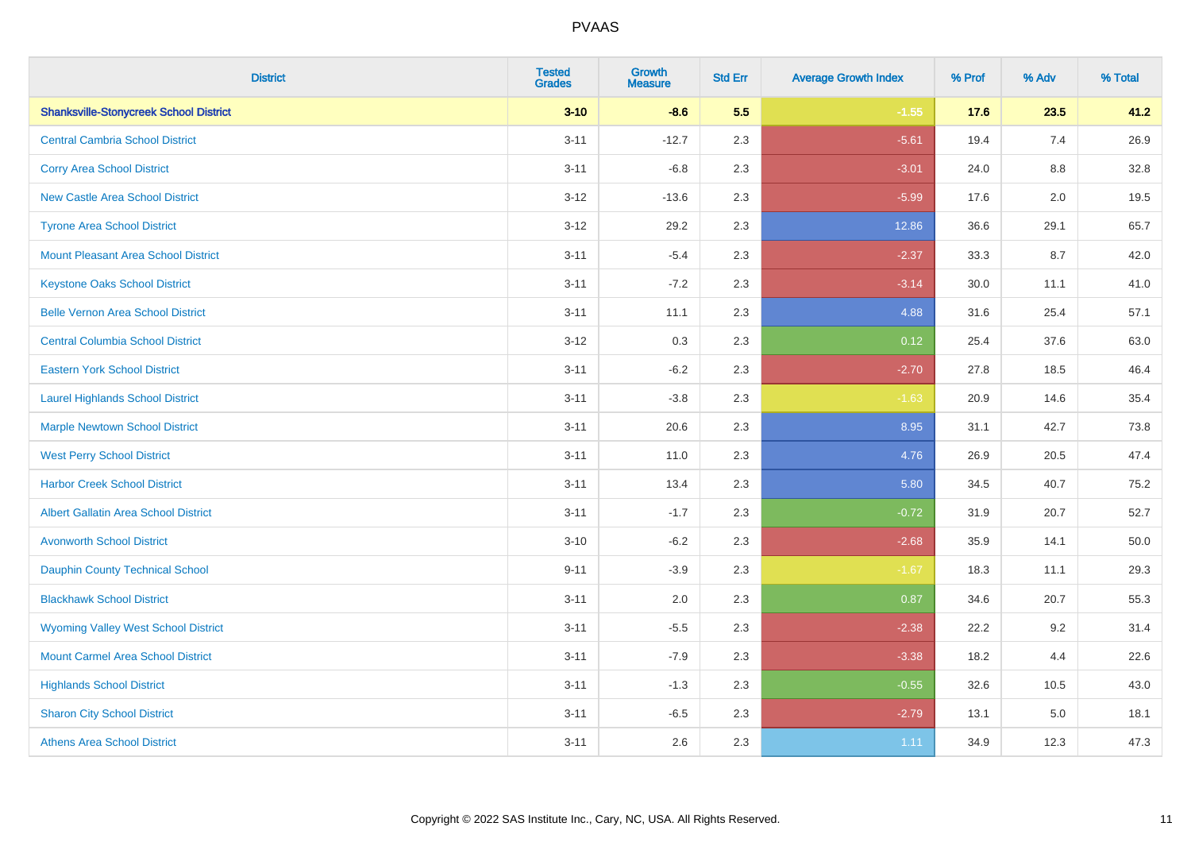| <b>District</b>                               | <b>Tested</b><br><b>Grades</b> | <b>Growth</b><br><b>Measure</b> | <b>Std Err</b> | <b>Average Growth Index</b> | % Prof | % Adv   | % Total |
|-----------------------------------------------|--------------------------------|---------------------------------|----------------|-----------------------------|--------|---------|---------|
| <b>Shanksville-Stonycreek School District</b> | $3 - 10$                       | $-8.6$                          | 5.5            | $-1.55$                     | 17.6   | 23.5    | 41.2    |
| <b>Central Cambria School District</b>        | $3 - 11$                       | $-12.7$                         | 2.3            | $-5.61$                     | 19.4   | 7.4     | 26.9    |
| <b>Corry Area School District</b>             | $3 - 11$                       | $-6.8$                          | 2.3            | $-3.01$                     | 24.0   | 8.8     | 32.8    |
| <b>New Castle Area School District</b>        | $3 - 12$                       | $-13.6$                         | 2.3            | $-5.99$                     | 17.6   | 2.0     | 19.5    |
| <b>Tyrone Area School District</b>            | $3-12$                         | 29.2                            | 2.3            | 12.86                       | 36.6   | 29.1    | 65.7    |
| <b>Mount Pleasant Area School District</b>    | $3 - 11$                       | $-5.4$                          | 2.3            | $-2.37$                     | 33.3   | 8.7     | 42.0    |
| <b>Keystone Oaks School District</b>          | $3 - 11$                       | $-7.2$                          | 2.3            | $-3.14$                     | 30.0   | 11.1    | 41.0    |
| <b>Belle Vernon Area School District</b>      | $3 - 11$                       | 11.1                            | 2.3            | 4.88                        | 31.6   | 25.4    | 57.1    |
| <b>Central Columbia School District</b>       | $3-12$                         | 0.3                             | 2.3            | 0.12                        | 25.4   | 37.6    | 63.0    |
| <b>Eastern York School District</b>           | $3 - 11$                       | $-6.2$                          | 2.3            | $-2.70$                     | 27.8   | 18.5    | 46.4    |
| <b>Laurel Highlands School District</b>       | $3 - 11$                       | $-3.8$                          | 2.3            | $-1.63$                     | 20.9   | 14.6    | 35.4    |
| <b>Marple Newtown School District</b>         | $3 - 11$                       | 20.6                            | 2.3            | 8.95                        | 31.1   | 42.7    | 73.8    |
| <b>West Perry School District</b>             | $3 - 11$                       | 11.0                            | 2.3            | 4.76                        | 26.9   | 20.5    | 47.4    |
| <b>Harbor Creek School District</b>           | $3 - 11$                       | 13.4                            | 2.3            | 5.80                        | 34.5   | 40.7    | 75.2    |
| <b>Albert Gallatin Area School District</b>   | $3 - 11$                       | $-1.7$                          | 2.3            | $-0.72$                     | 31.9   | 20.7    | 52.7    |
| <b>Avonworth School District</b>              | $3 - 10$                       | $-6.2$                          | 2.3            | $-2.68$                     | 35.9   | 14.1    | 50.0    |
| Dauphin County Technical School               | $9 - 11$                       | $-3.9$                          | 2.3            | $-1.67$                     | 18.3   | 11.1    | 29.3    |
| <b>Blackhawk School District</b>              | $3 - 11$                       | 2.0                             | 2.3            | 0.87                        | 34.6   | 20.7    | 55.3    |
| <b>Wyoming Valley West School District</b>    | $3 - 11$                       | $-5.5$                          | 2.3            | $-2.38$                     | 22.2   | 9.2     | 31.4    |
| <b>Mount Carmel Area School District</b>      | $3 - 11$                       | $-7.9$                          | 2.3            | $-3.38$                     | 18.2   | 4.4     | 22.6    |
| <b>Highlands School District</b>              | $3 - 11$                       | $-1.3$                          | 2.3            | $-0.55$                     | 32.6   | 10.5    | 43.0    |
| <b>Sharon City School District</b>            | $3 - 11$                       | $-6.5$                          | 2.3            | $-2.79$                     | 13.1   | $5.0\,$ | 18.1    |
| <b>Athens Area School District</b>            | $3 - 11$                       | 2.6                             | 2.3            | 1.11                        | 34.9   | 12.3    | 47.3    |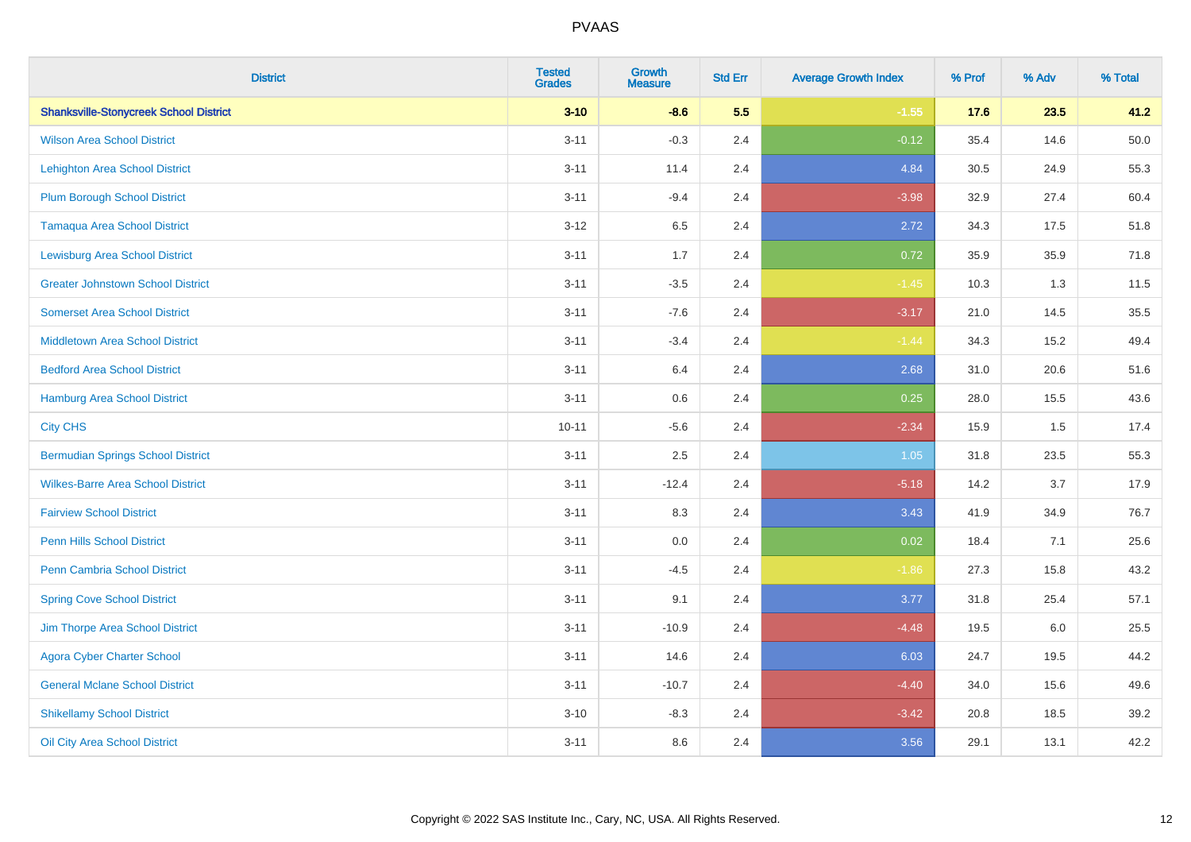| <b>District</b>                               | <b>Tested</b><br><b>Grades</b> | <b>Growth</b><br><b>Measure</b> | <b>Std Err</b> | <b>Average Growth Index</b> | % Prof | % Adv | % Total |
|-----------------------------------------------|--------------------------------|---------------------------------|----------------|-----------------------------|--------|-------|---------|
| <b>Shanksville-Stonycreek School District</b> | $3 - 10$                       | $-8.6$                          | 5.5            | $-1.55$                     | 17.6   | 23.5  | 41.2    |
| <b>Wilson Area School District</b>            | $3 - 11$                       | $-0.3$                          | 2.4            | $-0.12$                     | 35.4   | 14.6  | 50.0    |
| <b>Lehighton Area School District</b>         | $3 - 11$                       | 11.4                            | 2.4            | 4.84                        | 30.5   | 24.9  | 55.3    |
| <b>Plum Borough School District</b>           | $3 - 11$                       | $-9.4$                          | 2.4            | $-3.98$                     | 32.9   | 27.4  | 60.4    |
| <b>Tamaqua Area School District</b>           | $3-12$                         | 6.5                             | 2.4            | 2.72                        | 34.3   | 17.5  | 51.8    |
| <b>Lewisburg Area School District</b>         | $3 - 11$                       | 1.7                             | 2.4            | 0.72                        | 35.9   | 35.9  | 71.8    |
| <b>Greater Johnstown School District</b>      | $3 - 11$                       | $-3.5$                          | 2.4            | $-1.45$                     | 10.3   | 1.3   | 11.5    |
| <b>Somerset Area School District</b>          | $3 - 11$                       | $-7.6$                          | 2.4            | $-3.17$                     | 21.0   | 14.5  | 35.5    |
| <b>Middletown Area School District</b>        | $3 - 11$                       | $-3.4$                          | 2.4            | $-1.44$                     | 34.3   | 15.2  | 49.4    |
| <b>Bedford Area School District</b>           | $3 - 11$                       | 6.4                             | 2.4            | 2.68                        | 31.0   | 20.6  | 51.6    |
| Hamburg Area School District                  | $3 - 11$                       | 0.6                             | 2.4            | 0.25                        | 28.0   | 15.5  | 43.6    |
| <b>City CHS</b>                               | $10 - 11$                      | $-5.6$                          | 2.4            | $-2.34$                     | 15.9   | 1.5   | 17.4    |
| <b>Bermudian Springs School District</b>      | $3 - 11$                       | 2.5                             | 2.4            | 1.05                        | 31.8   | 23.5  | 55.3    |
| <b>Wilkes-Barre Area School District</b>      | $3 - 11$                       | $-12.4$                         | 2.4            | $-5.18$                     | 14.2   | 3.7   | 17.9    |
| <b>Fairview School District</b>               | $3 - 11$                       | 8.3                             | 2.4            | 3.43                        | 41.9   | 34.9  | 76.7    |
| Penn Hills School District                    | $3 - 11$                       | 0.0                             | 2.4            | 0.02                        | 18.4   | 7.1   | 25.6    |
| <b>Penn Cambria School District</b>           | $3 - 11$                       | $-4.5$                          | 2.4            | $-1.86$                     | 27.3   | 15.8  | 43.2    |
| <b>Spring Cove School District</b>            | $3 - 11$                       | 9.1                             | 2.4            | 3.77                        | 31.8   | 25.4  | 57.1    |
| Jim Thorpe Area School District               | $3 - 11$                       | $-10.9$                         | 2.4            | $-4.48$                     | 19.5   | 6.0   | 25.5    |
| <b>Agora Cyber Charter School</b>             | $3 - 11$                       | 14.6                            | 2.4            | 6.03                        | 24.7   | 19.5  | 44.2    |
| <b>General Mclane School District</b>         | $3 - 11$                       | $-10.7$                         | 2.4            | $-4.40$                     | 34.0   | 15.6  | 49.6    |
| <b>Shikellamy School District</b>             | $3 - 10$                       | $-8.3$                          | 2.4            | $-3.42$                     | 20.8   | 18.5  | 39.2    |
| Oil City Area School District                 | $3 - 11$                       | 8.6                             | 2.4            | 3.56                        | 29.1   | 13.1  | 42.2    |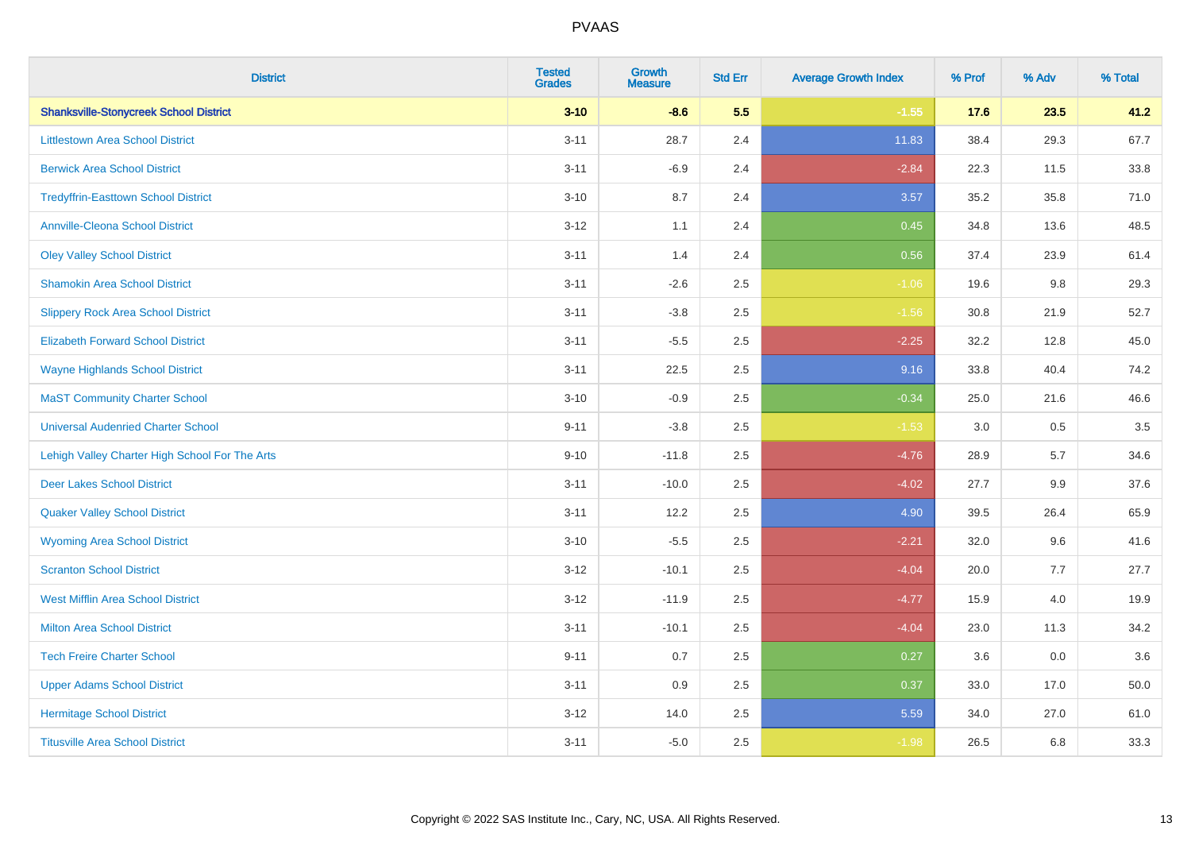| <b>District</b>                                | <b>Tested</b><br><b>Grades</b> | <b>Growth</b><br><b>Measure</b> | <b>Std Err</b> | <b>Average Growth Index</b> | % Prof | % Adv | % Total |
|------------------------------------------------|--------------------------------|---------------------------------|----------------|-----------------------------|--------|-------|---------|
| <b>Shanksville-Stonycreek School District</b>  | $3 - 10$                       | $-8.6$                          | 5.5            | $-1.55$                     | 17.6   | 23.5  | 41.2    |
| <b>Littlestown Area School District</b>        | $3 - 11$                       | 28.7                            | 2.4            | 11.83                       | 38.4   | 29.3  | 67.7    |
| <b>Berwick Area School District</b>            | $3 - 11$                       | $-6.9$                          | 2.4            | $-2.84$                     | 22.3   | 11.5  | 33.8    |
| <b>Tredyffrin-Easttown School District</b>     | $3 - 10$                       | 8.7                             | 2.4            | 3.57                        | 35.2   | 35.8  | 71.0    |
| <b>Annville-Cleona School District</b>         | $3 - 12$                       | 1.1                             | 2.4            | 0.45                        | 34.8   | 13.6  | 48.5    |
| <b>Oley Valley School District</b>             | $3 - 11$                       | 1.4                             | 2.4            | 0.56                        | 37.4   | 23.9  | 61.4    |
| <b>Shamokin Area School District</b>           | $3 - 11$                       | $-2.6$                          | 2.5            | $-1.06$                     | 19.6   | 9.8   | 29.3    |
| <b>Slippery Rock Area School District</b>      | $3 - 11$                       | $-3.8$                          | 2.5            | $-1.56$                     | 30.8   | 21.9  | 52.7    |
| <b>Elizabeth Forward School District</b>       | $3 - 11$                       | $-5.5$                          | 2.5            | $-2.25$                     | 32.2   | 12.8  | 45.0    |
| <b>Wayne Highlands School District</b>         | $3 - 11$                       | 22.5                            | 2.5            | 9.16                        | 33.8   | 40.4  | 74.2    |
| <b>MaST Community Charter School</b>           | $3 - 10$                       | $-0.9$                          | 2.5            | $-0.34$                     | 25.0   | 21.6  | 46.6    |
| <b>Universal Audenried Charter School</b>      | $9 - 11$                       | $-3.8$                          | 2.5            | $-1.53$                     | 3.0    | 0.5   | 3.5     |
| Lehigh Valley Charter High School For The Arts | $9 - 10$                       | $-11.8$                         | 2.5            | $-4.76$                     | 28.9   | 5.7   | 34.6    |
| <b>Deer Lakes School District</b>              | $3 - 11$                       | $-10.0$                         | 2.5            | $-4.02$                     | 27.7   | 9.9   | 37.6    |
| <b>Quaker Valley School District</b>           | $3 - 11$                       | 12.2                            | 2.5            | 4.90                        | 39.5   | 26.4  | 65.9    |
| <b>Wyoming Area School District</b>            | $3 - 10$                       | $-5.5$                          | 2.5            | $-2.21$                     | 32.0   | 9.6   | 41.6    |
| <b>Scranton School District</b>                | $3 - 12$                       | $-10.1$                         | 2.5            | $-4.04$                     | 20.0   | 7.7   | 27.7    |
| <b>West Mifflin Area School District</b>       | $3 - 12$                       | $-11.9$                         | 2.5            | $-4.77$                     | 15.9   | 4.0   | 19.9    |
| <b>Milton Area School District</b>             | $3 - 11$                       | $-10.1$                         | 2.5            | $-4.04$                     | 23.0   | 11.3  | 34.2    |
| <b>Tech Freire Charter School</b>              | $9 - 11$                       | 0.7                             | 2.5            | 0.27                        | 3.6    | 0.0   | 3.6     |
| <b>Upper Adams School District</b>             | $3 - 11$                       | 0.9                             | 2.5            | 0.37                        | 33.0   | 17.0  | 50.0    |
| <b>Hermitage School District</b>               | $3 - 12$                       | 14.0                            | 2.5            | 5.59                        | 34.0   | 27.0  | 61.0    |
| <b>Titusville Area School District</b>         | $3 - 11$                       | $-5.0$                          | 2.5            | $-1.98$                     | 26.5   | 6.8   | 33.3    |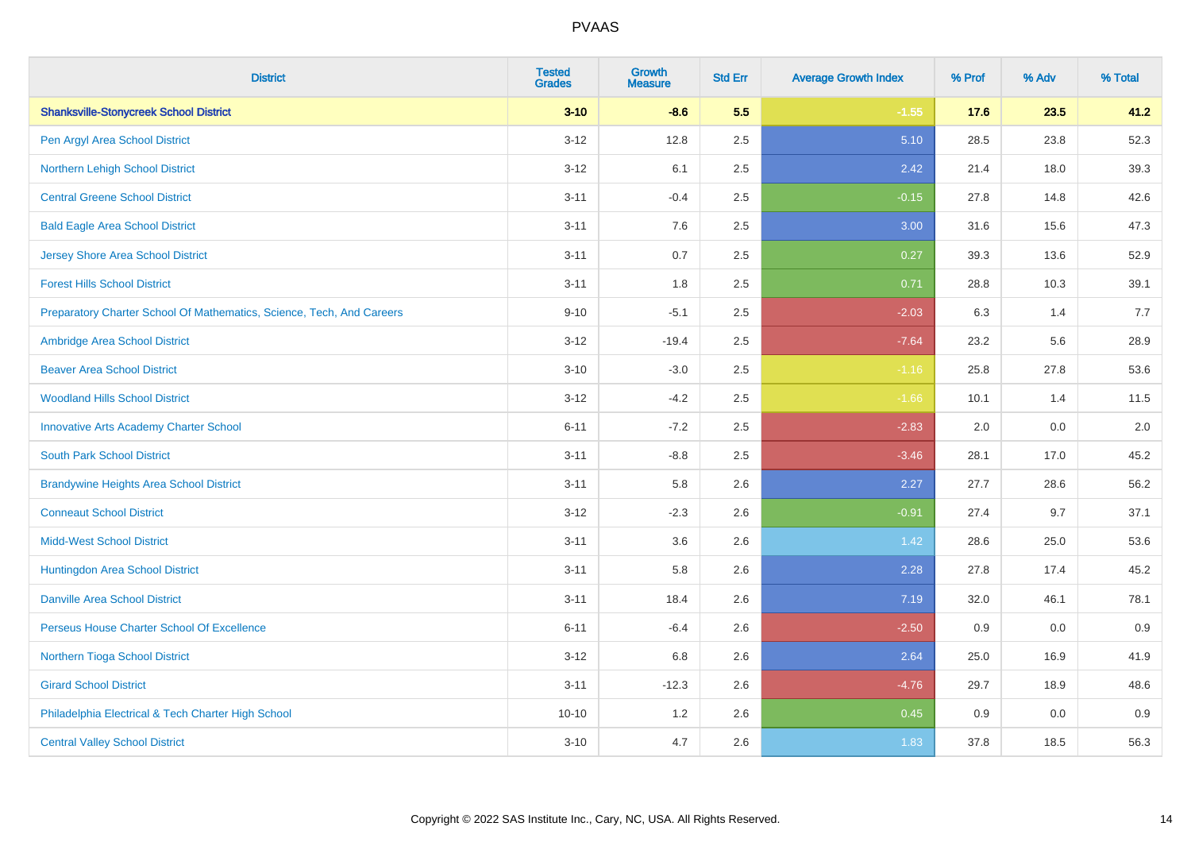| <b>District</b>                                                       | <b>Tested</b><br><b>Grades</b> | <b>Growth</b><br><b>Measure</b> | <b>Std Err</b> | <b>Average Growth Index</b> | % Prof | % Adv | % Total |
|-----------------------------------------------------------------------|--------------------------------|---------------------------------|----------------|-----------------------------|--------|-------|---------|
| <b>Shanksville-Stonycreek School District</b>                         | $3 - 10$                       | $-8.6$                          | 5.5            | $-1.55$                     | 17.6   | 23.5  | 41.2    |
| Pen Argyl Area School District                                        | $3 - 12$                       | 12.8                            | 2.5            | 5.10                        | 28.5   | 23.8  | 52.3    |
| Northern Lehigh School District                                       | $3 - 12$                       | 6.1                             | 2.5            | 2.42                        | 21.4   | 18.0  | 39.3    |
| <b>Central Greene School District</b>                                 | $3 - 11$                       | $-0.4$                          | 2.5            | $-0.15$                     | 27.8   | 14.8  | 42.6    |
| <b>Bald Eagle Area School District</b>                                | $3 - 11$                       | 7.6                             | 2.5            | 3.00                        | 31.6   | 15.6  | 47.3    |
| <b>Jersey Shore Area School District</b>                              | $3 - 11$                       | 0.7                             | 2.5            | 0.27                        | 39.3   | 13.6  | 52.9    |
| <b>Forest Hills School District</b>                                   | $3 - 11$                       | 1.8                             | 2.5            | 0.71                        | 28.8   | 10.3  | 39.1    |
| Preparatory Charter School Of Mathematics, Science, Tech, And Careers | $9 - 10$                       | $-5.1$                          | 2.5            | $-2.03$                     | 6.3    | 1.4   | 7.7     |
| Ambridge Area School District                                         | $3 - 12$                       | $-19.4$                         | 2.5            | $-7.64$                     | 23.2   | 5.6   | 28.9    |
| <b>Beaver Area School District</b>                                    | $3 - 10$                       | $-3.0$                          | 2.5            | $-1.16$                     | 25.8   | 27.8  | 53.6    |
| <b>Woodland Hills School District</b>                                 | $3 - 12$                       | $-4.2$                          | 2.5            | $-1.66$                     | 10.1   | 1.4   | 11.5    |
| <b>Innovative Arts Academy Charter School</b>                         | $6 - 11$                       | $-7.2$                          | 2.5            | $-2.83$                     | 2.0    | 0.0   | 2.0     |
| <b>South Park School District</b>                                     | $3 - 11$                       | $-8.8$                          | 2.5            | $-3.46$                     | 28.1   | 17.0  | 45.2    |
| <b>Brandywine Heights Area School District</b>                        | $3 - 11$                       | 5.8                             | 2.6            | 2.27                        | 27.7   | 28.6  | 56.2    |
| <b>Conneaut School District</b>                                       | $3 - 12$                       | $-2.3$                          | 2.6            | $-0.91$                     | 27.4   | 9.7   | 37.1    |
| <b>Midd-West School District</b>                                      | $3 - 11$                       | 3.6                             | 2.6            | 1.42                        | 28.6   | 25.0  | 53.6    |
| Huntingdon Area School District                                       | $3 - 11$                       | 5.8                             | 2.6            | 2.28                        | 27.8   | 17.4  | 45.2    |
| <b>Danville Area School District</b>                                  | $3 - 11$                       | 18.4                            | 2.6            | 7.19                        | 32.0   | 46.1  | 78.1    |
| Perseus House Charter School Of Excellence                            | $6 - 11$                       | $-6.4$                          | 2.6            | $-2.50$                     | 0.9    | 0.0   | 0.9     |
| Northern Tioga School District                                        | $3 - 12$                       | 6.8                             | 2.6            | 2.64                        | 25.0   | 16.9  | 41.9    |
| <b>Girard School District</b>                                         | $3 - 11$                       | $-12.3$                         | 2.6            | $-4.76$                     | 29.7   | 18.9  | 48.6    |
| Philadelphia Electrical & Tech Charter High School                    | $10 - 10$                      | 1.2                             | 2.6            | 0.45                        | 0.9    | 0.0   | 0.9     |
| <b>Central Valley School District</b>                                 | $3 - 10$                       | 4.7                             | 2.6            | 1.83                        | 37.8   | 18.5  | 56.3    |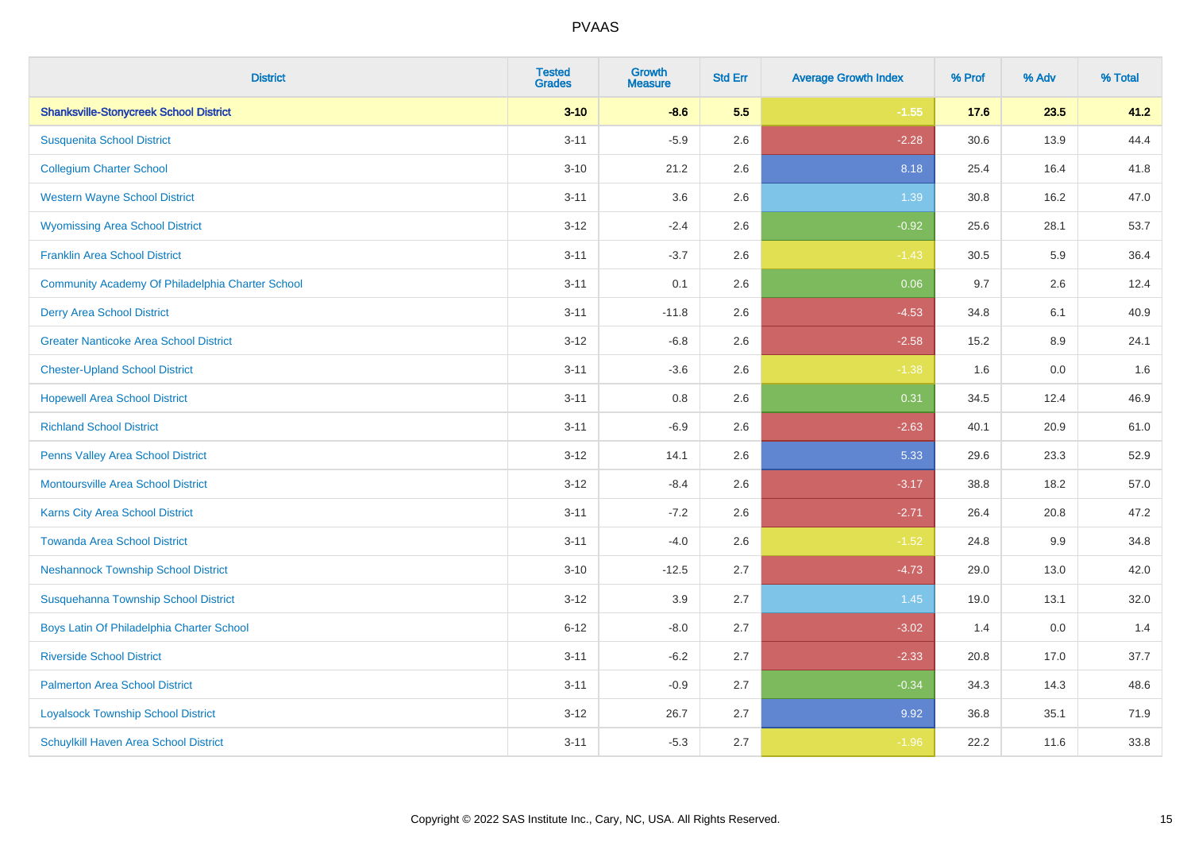| <b>District</b>                                  | <b>Tested</b><br><b>Grades</b> | <b>Growth</b><br><b>Measure</b> | <b>Std Err</b> | <b>Average Growth Index</b> | % Prof | % Adv | % Total |
|--------------------------------------------------|--------------------------------|---------------------------------|----------------|-----------------------------|--------|-------|---------|
| <b>Shanksville-Stonycreek School District</b>    | $3 - 10$                       | $-8.6$                          | 5.5            | $-1.55$                     | 17.6   | 23.5  | 41.2    |
| <b>Susquenita School District</b>                | $3 - 11$                       | $-5.9$                          | 2.6            | $-2.28$                     | 30.6   | 13.9  | 44.4    |
| <b>Collegium Charter School</b>                  | $3 - 10$                       | 21.2                            | 2.6            | 8.18                        | 25.4   | 16.4  | 41.8    |
| <b>Western Wayne School District</b>             | $3 - 11$                       | 3.6                             | 2.6            | 1.39                        | 30.8   | 16.2  | 47.0    |
| <b>Wyomissing Area School District</b>           | $3-12$                         | $-2.4$                          | 2.6            | $-0.92$                     | 25.6   | 28.1  | 53.7    |
| <b>Franklin Area School District</b>             | $3 - 11$                       | $-3.7$                          | 2.6            | $-1.43$                     | 30.5   | 5.9   | 36.4    |
| Community Academy Of Philadelphia Charter School | $3 - 11$                       | 0.1                             | 2.6            | 0.06                        | 9.7    | 2.6   | 12.4    |
| <b>Derry Area School District</b>                | $3 - 11$                       | $-11.8$                         | 2.6            | $-4.53$                     | 34.8   | 6.1   | 40.9    |
| <b>Greater Nanticoke Area School District</b>    | $3-12$                         | $-6.8$                          | 2.6            | $-2.58$                     | 15.2   | 8.9   | 24.1    |
| <b>Chester-Upland School District</b>            | $3 - 11$                       | $-3.6$                          | 2.6            | $-1.38$                     | 1.6    | 0.0   | 1.6     |
| <b>Hopewell Area School District</b>             | $3 - 11$                       | 0.8                             | 2.6            | 0.31                        | 34.5   | 12.4  | 46.9    |
| <b>Richland School District</b>                  | $3 - 11$                       | $-6.9$                          | 2.6            | $-2.63$                     | 40.1   | 20.9  | 61.0    |
| Penns Valley Area School District                | $3-12$                         | 14.1                            | 2.6            | 5.33                        | 29.6   | 23.3  | 52.9    |
| <b>Montoursville Area School District</b>        | $3-12$                         | $-8.4$                          | 2.6            | $-3.17$                     | 38.8   | 18.2  | 57.0    |
| Karns City Area School District                  | $3 - 11$                       | $-7.2$                          | 2.6            | $-2.71$                     | 26.4   | 20.8  | 47.2    |
| <b>Towanda Area School District</b>              | $3 - 11$                       | $-4.0$                          | 2.6            | $-1.52$                     | 24.8   | 9.9   | 34.8    |
| <b>Neshannock Township School District</b>       | $3 - 10$                       | $-12.5$                         | 2.7            | $-4.73$                     | 29.0   | 13.0  | 42.0    |
| Susquehanna Township School District             | $3-12$                         | 3.9                             | 2.7            | 1.45                        | 19.0   | 13.1  | 32.0    |
| Boys Latin Of Philadelphia Charter School        | $6 - 12$                       | $-8.0$                          | 2.7            | $-3.02$                     | 1.4    | 0.0   | 1.4     |
| <b>Riverside School District</b>                 | $3 - 11$                       | $-6.2$                          | 2.7            | $-2.33$                     | 20.8   | 17.0  | 37.7    |
| <b>Palmerton Area School District</b>            | $3 - 11$                       | $-0.9$                          | 2.7            | $-0.34$                     | 34.3   | 14.3  | 48.6    |
| <b>Loyalsock Township School District</b>        | $3-12$                         | 26.7                            | 2.7            | 9.92                        | 36.8   | 35.1  | 71.9    |
| <b>Schuylkill Haven Area School District</b>     | $3 - 11$                       | $-5.3$                          | 2.7            | $-1.96$                     | 22.2   | 11.6  | 33.8    |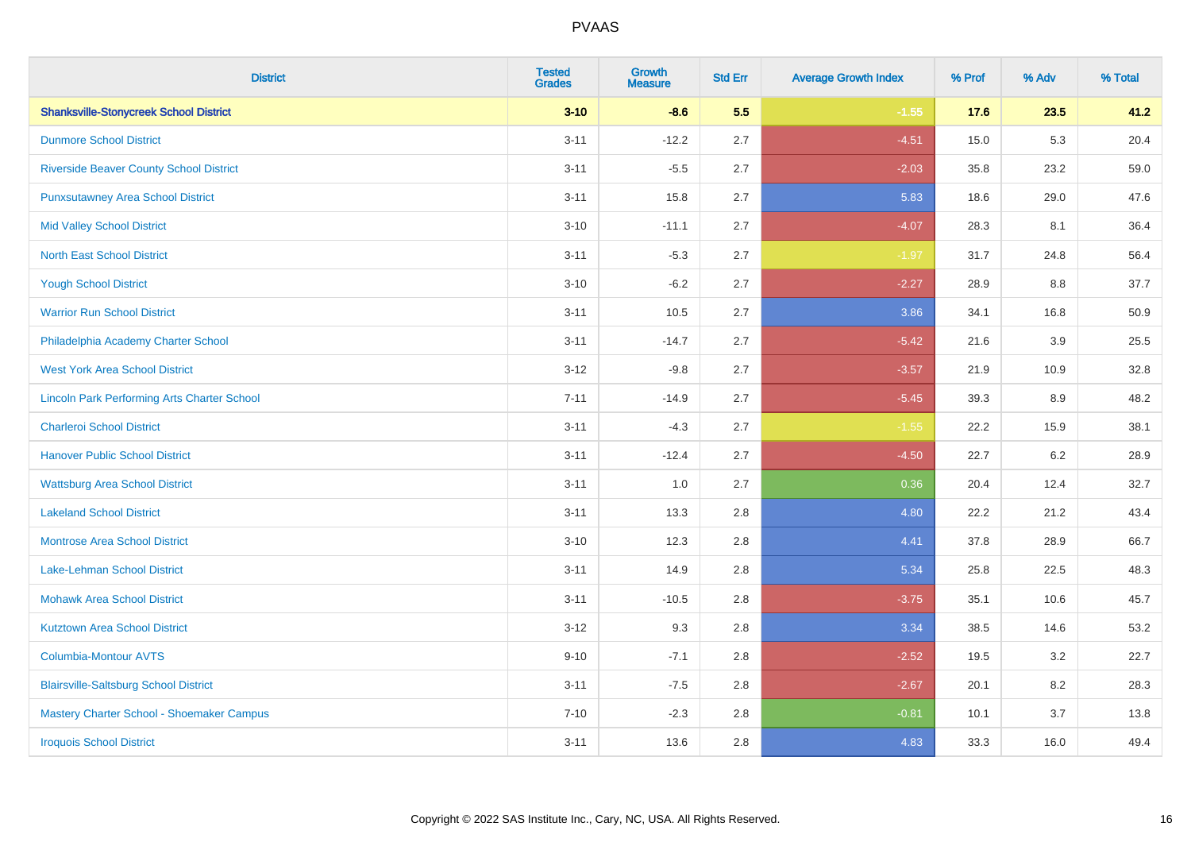| <b>District</b>                                    | <b>Tested</b><br><b>Grades</b> | <b>Growth</b><br><b>Measure</b> | <b>Std Err</b> | <b>Average Growth Index</b> | % Prof | % Adv | % Total |
|----------------------------------------------------|--------------------------------|---------------------------------|----------------|-----------------------------|--------|-------|---------|
| <b>Shanksville-Stonycreek School District</b>      | $3 - 10$                       | $-8.6$                          | 5.5            | $-1.55$                     | 17.6   | 23.5  | 41.2    |
| <b>Dunmore School District</b>                     | $3 - 11$                       | $-12.2$                         | 2.7            | $-4.51$                     | 15.0   | 5.3   | 20.4    |
| <b>Riverside Beaver County School District</b>     | $3 - 11$                       | $-5.5$                          | 2.7            | $-2.03$                     | 35.8   | 23.2  | 59.0    |
| <b>Punxsutawney Area School District</b>           | $3 - 11$                       | 15.8                            | 2.7            | 5.83                        | 18.6   | 29.0  | 47.6    |
| <b>Mid Valley School District</b>                  | $3 - 10$                       | $-11.1$                         | 2.7            | $-4.07$                     | 28.3   | 8.1   | 36.4    |
| <b>North East School District</b>                  | $3 - 11$                       | $-5.3$                          | 2.7            | $-1.97$                     | 31.7   | 24.8  | 56.4    |
| <b>Yough School District</b>                       | $3 - 10$                       | $-6.2$                          | 2.7            | $-2.27$                     | 28.9   | 8.8   | 37.7    |
| <b>Warrior Run School District</b>                 | $3 - 11$                       | 10.5                            | 2.7            | 3.86                        | 34.1   | 16.8  | 50.9    |
| Philadelphia Academy Charter School                | $3 - 11$                       | $-14.7$                         | 2.7            | $-5.42$                     | 21.6   | 3.9   | 25.5    |
| <b>West York Area School District</b>              | $3-12$                         | $-9.8$                          | 2.7            | $-3.57$                     | 21.9   | 10.9  | 32.8    |
| <b>Lincoln Park Performing Arts Charter School</b> | $7 - 11$                       | $-14.9$                         | 2.7            | $-5.45$                     | 39.3   | 8.9   | 48.2    |
| <b>Charleroi School District</b>                   | $3 - 11$                       | $-4.3$                          | 2.7            | $-1.55$                     | 22.2   | 15.9  | 38.1    |
| <b>Hanover Public School District</b>              | $3 - 11$                       | $-12.4$                         | 2.7            | $-4.50$                     | 22.7   | 6.2   | 28.9    |
| <b>Wattsburg Area School District</b>              | $3 - 11$                       | 1.0                             | 2.7            | 0.36                        | 20.4   | 12.4  | 32.7    |
| <b>Lakeland School District</b>                    | $3 - 11$                       | 13.3                            | 2.8            | 4.80                        | 22.2   | 21.2  | 43.4    |
| <b>Montrose Area School District</b>               | $3 - 10$                       | 12.3                            | 2.8            | 4.41                        | 37.8   | 28.9  | 66.7    |
| Lake-Lehman School District                        | $3 - 11$                       | 14.9                            | 2.8            | 5.34                        | 25.8   | 22.5  | 48.3    |
| <b>Mohawk Area School District</b>                 | $3 - 11$                       | $-10.5$                         | 2.8            | $-3.75$                     | 35.1   | 10.6  | 45.7    |
| <b>Kutztown Area School District</b>               | $3-12$                         | 9.3                             | 2.8            | 3.34                        | 38.5   | 14.6  | 53.2    |
| <b>Columbia-Montour AVTS</b>                       | $9 - 10$                       | $-7.1$                          | 2.8            | $-2.52$                     | 19.5   | 3.2   | 22.7    |
| <b>Blairsville-Saltsburg School District</b>       | $3 - 11$                       | $-7.5$                          | 2.8            | $-2.67$                     | 20.1   | 8.2   | 28.3    |
| Mastery Charter School - Shoemaker Campus          | $7 - 10$                       | $-2.3$                          | 2.8            | $-0.81$                     | 10.1   | 3.7   | 13.8    |
| <b>Iroquois School District</b>                    | $3 - 11$                       | 13.6                            | 2.8            | 4.83                        | 33.3   | 16.0  | 49.4    |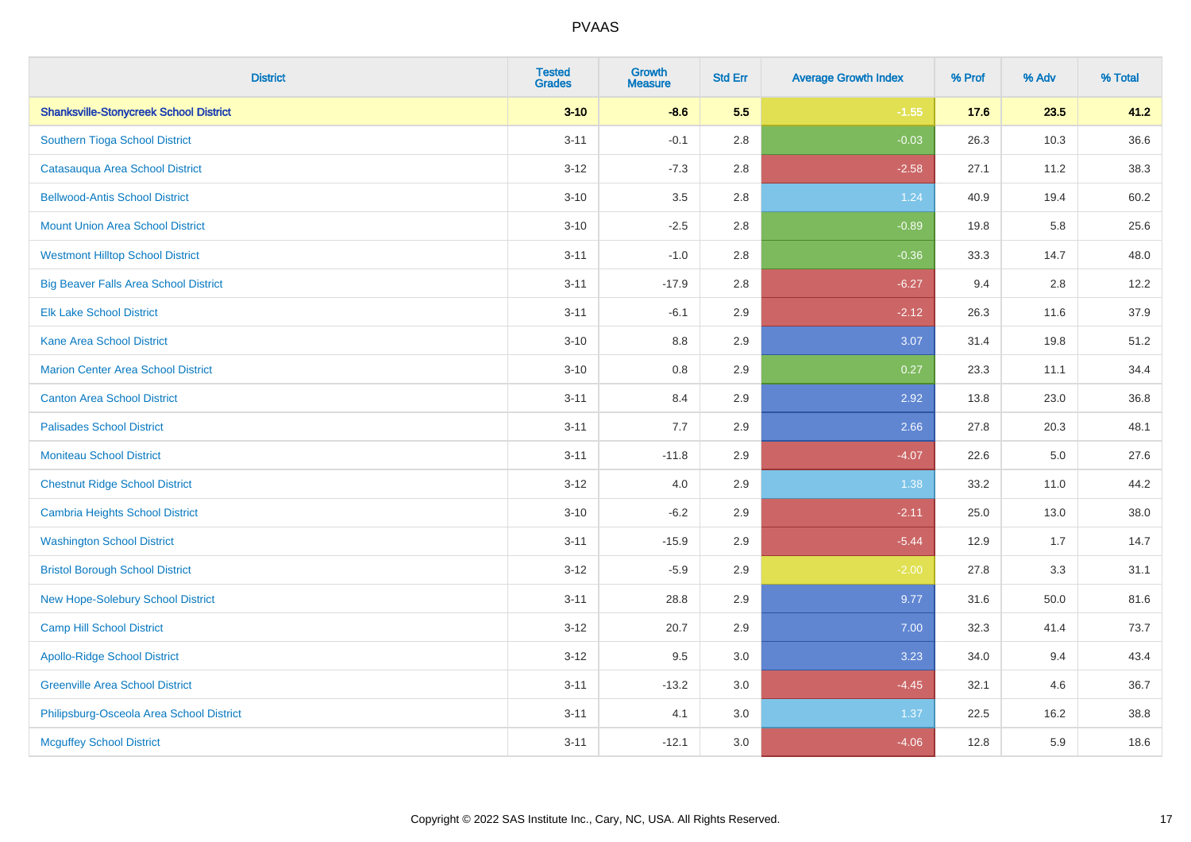| <b>District</b>                               | <b>Tested</b><br><b>Grades</b> | <b>Growth</b><br><b>Measure</b> | <b>Std Err</b> | <b>Average Growth Index</b> | % Prof | % Adv | % Total |
|-----------------------------------------------|--------------------------------|---------------------------------|----------------|-----------------------------|--------|-------|---------|
| <b>Shanksville-Stonycreek School District</b> | $3 - 10$                       | $-8.6$                          | 5.5            | $-1.55$                     | 17.6   | 23.5  | 41.2    |
| Southern Tioga School District                | $3 - 11$                       | $-0.1$                          | 2.8            | $-0.03$                     | 26.3   | 10.3  | 36.6    |
| Catasauqua Area School District               | $3 - 12$                       | $-7.3$                          | 2.8            | $-2.58$                     | 27.1   | 11.2  | 38.3    |
| <b>Bellwood-Antis School District</b>         | $3 - 10$                       | 3.5                             | 2.8            | 1.24                        | 40.9   | 19.4  | 60.2    |
| <b>Mount Union Area School District</b>       | $3 - 10$                       | $-2.5$                          | 2.8            | $-0.89$                     | 19.8   | 5.8   | 25.6    |
| <b>Westmont Hilltop School District</b>       | $3 - 11$                       | $-1.0$                          | 2.8            | $-0.36$                     | 33.3   | 14.7  | 48.0    |
| <b>Big Beaver Falls Area School District</b>  | $3 - 11$                       | $-17.9$                         | 2.8            | $-6.27$                     | 9.4    | 2.8   | 12.2    |
| <b>Elk Lake School District</b>               | $3 - 11$                       | $-6.1$                          | 2.9            | $-2.12$                     | 26.3   | 11.6  | 37.9    |
| <b>Kane Area School District</b>              | $3 - 10$                       | 8.8                             | 2.9            | 3.07                        | 31.4   | 19.8  | 51.2    |
| <b>Marion Center Area School District</b>     | $3 - 10$                       | $0.8\,$                         | 2.9            | 0.27                        | 23.3   | 11.1  | 34.4    |
| <b>Canton Area School District</b>            | $3 - 11$                       | 8.4                             | 2.9            | 2.92                        | 13.8   | 23.0  | 36.8    |
| <b>Palisades School District</b>              | $3 - 11$                       | 7.7                             | 2.9            | 2.66                        | 27.8   | 20.3  | 48.1    |
| <b>Moniteau School District</b>               | $3 - 11$                       | $-11.8$                         | 2.9            | $-4.07$                     | 22.6   | 5.0   | 27.6    |
| <b>Chestnut Ridge School District</b>         | $3 - 12$                       | 4.0                             | 2.9            | 1.38                        | 33.2   | 11.0  | 44.2    |
| Cambria Heights School District               | $3 - 10$                       | $-6.2$                          | 2.9            | $-2.11$                     | 25.0   | 13.0  | 38.0    |
| <b>Washington School District</b>             | $3 - 11$                       | $-15.9$                         | 2.9            | $-5.44$                     | 12.9   | 1.7   | 14.7    |
| <b>Bristol Borough School District</b>        | $3-12$                         | $-5.9$                          | 2.9            | $-2.00$                     | 27.8   | 3.3   | 31.1    |
| New Hope-Solebury School District             | $3 - 11$                       | 28.8                            | 2.9            | 9.77                        | 31.6   | 50.0  | 81.6    |
| Camp Hill School District                     | $3 - 12$                       | 20.7                            | 2.9            | 7.00                        | 32.3   | 41.4  | 73.7    |
| <b>Apollo-Ridge School District</b>           | $3 - 12$                       | 9.5                             | 3.0            | 3.23                        | 34.0   | 9.4   | 43.4    |
| <b>Greenville Area School District</b>        | $3 - 11$                       | $-13.2$                         | 3.0            | $-4.45$                     | 32.1   | 4.6   | 36.7    |
| Philipsburg-Osceola Area School District      | $3 - 11$                       | 4.1                             | 3.0            | 1.37                        | 22.5   | 16.2  | 38.8    |
| <b>Mcguffey School District</b>               | $3 - 11$                       | $-12.1$                         | 3.0            | $-4.06$                     | 12.8   | 5.9   | 18.6    |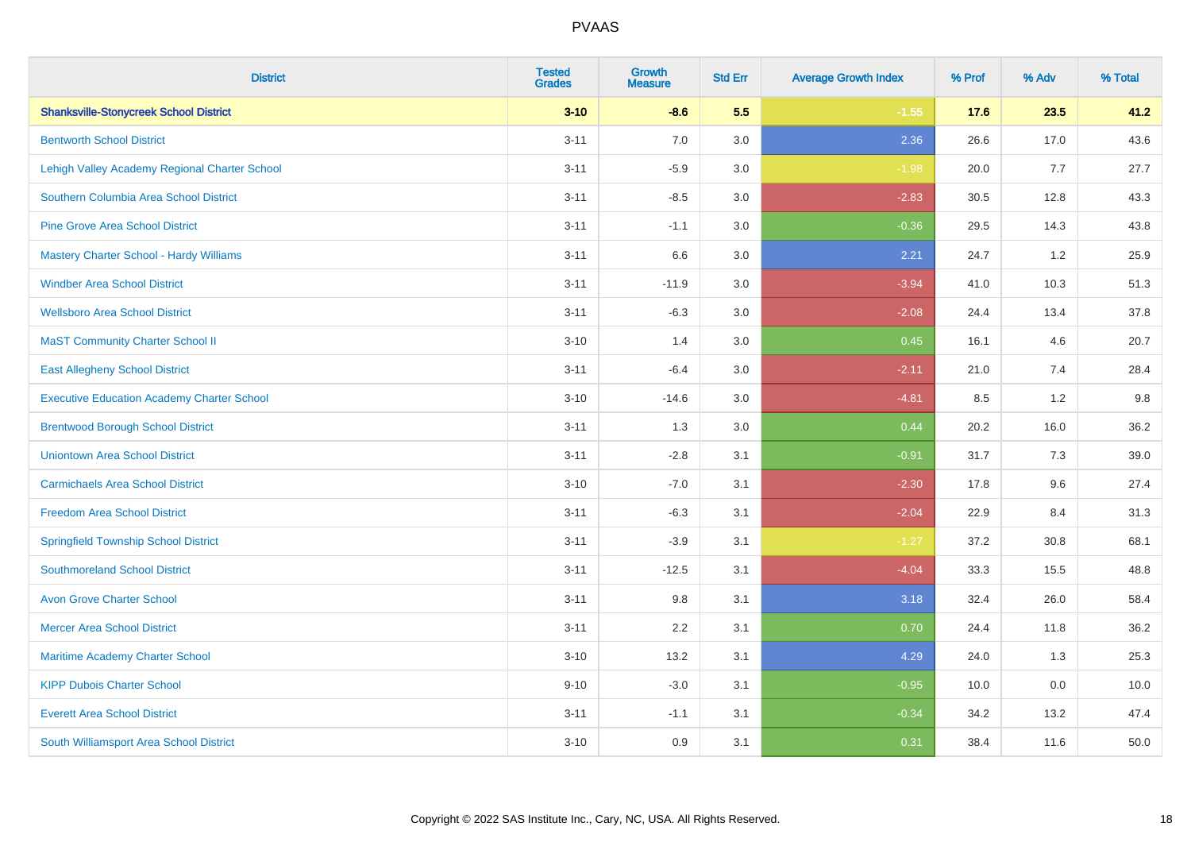| <b>District</b>                                   | <b>Tested</b><br><b>Grades</b> | <b>Growth</b><br><b>Measure</b> | <b>Std Err</b> | <b>Average Growth Index</b> | % Prof | % Adv | % Total |
|---------------------------------------------------|--------------------------------|---------------------------------|----------------|-----------------------------|--------|-------|---------|
| <b>Shanksville-Stonycreek School District</b>     | $3 - 10$                       | $-8.6$                          | 5.5            | $-1.55$                     | 17.6   | 23.5  | 41.2    |
| <b>Bentworth School District</b>                  | $3 - 11$                       | 7.0                             | 3.0            | 2.36                        | 26.6   | 17.0  | 43.6    |
| Lehigh Valley Academy Regional Charter School     | $3 - 11$                       | $-5.9$                          | 3.0            | $-1.98$                     | 20.0   | 7.7   | 27.7    |
| Southern Columbia Area School District            | $3 - 11$                       | $-8.5$                          | 3.0            | $-2.83$                     | 30.5   | 12.8  | 43.3    |
| <b>Pine Grove Area School District</b>            | $3 - 11$                       | $-1.1$                          | 3.0            | $-0.36$                     | 29.5   | 14.3  | 43.8    |
| Mastery Charter School - Hardy Williams           | $3 - 11$                       | 6.6                             | 3.0            | 2.21                        | 24.7   | 1.2   | 25.9    |
| <b>Windber Area School District</b>               | $3 - 11$                       | $-11.9$                         | 3.0            | $-3.94$                     | 41.0   | 10.3  | 51.3    |
| <b>Wellsboro Area School District</b>             | $3 - 11$                       | $-6.3$                          | 3.0            | $-2.08$                     | 24.4   | 13.4  | 37.8    |
| <b>MaST Community Charter School II</b>           | $3 - 10$                       | 1.4                             | 3.0            | 0.45                        | 16.1   | 4.6   | 20.7    |
| <b>East Allegheny School District</b>             | $3 - 11$                       | $-6.4$                          | 3.0            | $-2.11$                     | 21.0   | 7.4   | 28.4    |
| <b>Executive Education Academy Charter School</b> | $3 - 10$                       | $-14.6$                         | 3.0            | $-4.81$                     | 8.5    | 1.2   | 9.8     |
| <b>Brentwood Borough School District</b>          | $3 - 11$                       | 1.3                             | 3.0            | 0.44                        | 20.2   | 16.0  | 36.2    |
| <b>Uniontown Area School District</b>             | $3 - 11$                       | $-2.8$                          | 3.1            | $-0.91$                     | 31.7   | 7.3   | 39.0    |
| <b>Carmichaels Area School District</b>           | $3 - 10$                       | $-7.0$                          | 3.1            | $-2.30$                     | 17.8   | 9.6   | 27.4    |
| <b>Freedom Area School District</b>               | $3 - 11$                       | $-6.3$                          | 3.1            | $-2.04$                     | 22.9   | 8.4   | 31.3    |
| <b>Springfield Township School District</b>       | $3 - 11$                       | $-3.9$                          | 3.1            | $-1.27$                     | 37.2   | 30.8  | 68.1    |
| <b>Southmoreland School District</b>              | $3 - 11$                       | $-12.5$                         | 3.1            | $-4.04$                     | 33.3   | 15.5  | 48.8    |
| <b>Avon Grove Charter School</b>                  | $3 - 11$                       | 9.8                             | 3.1            | 3.18                        | 32.4   | 26.0  | 58.4    |
| <b>Mercer Area School District</b>                | $3 - 11$                       | 2.2                             | 3.1            | 0.70                        | 24.4   | 11.8  | 36.2    |
| <b>Maritime Academy Charter School</b>            | $3 - 10$                       | 13.2                            | 3.1            | 4.29                        | 24.0   | 1.3   | 25.3    |
| <b>KIPP Dubois Charter School</b>                 | $9 - 10$                       | $-3.0$                          | 3.1            | $-0.95$                     | 10.0   | 0.0   | 10.0    |
| <b>Everett Area School District</b>               | $3 - 11$                       | $-1.1$                          | 3.1            | $-0.34$                     | 34.2   | 13.2  | 47.4    |
| South Williamsport Area School District           | $3 - 10$                       | 0.9                             | 3.1            | 0.31                        | 38.4   | 11.6  | 50.0    |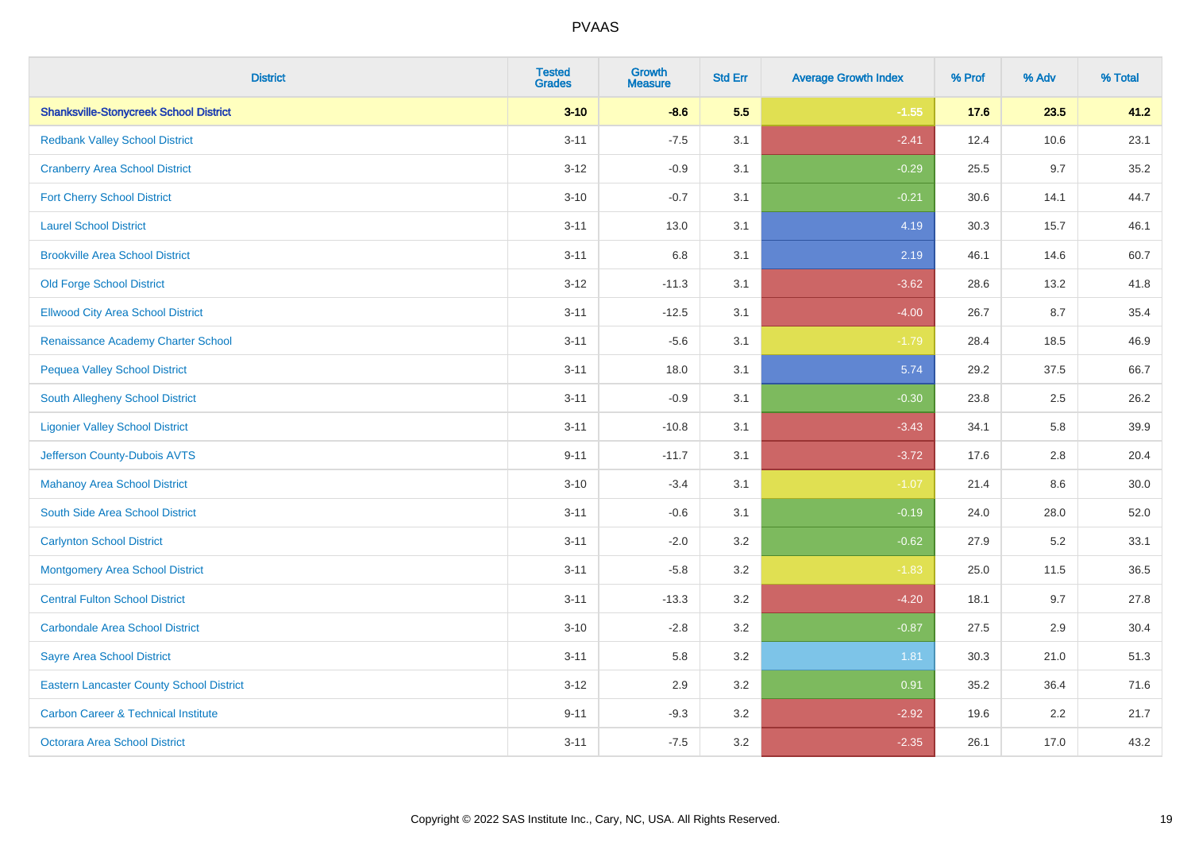| <b>District</b>                                 | <b>Tested</b><br><b>Grades</b> | <b>Growth</b><br><b>Measure</b> | <b>Std Err</b> | <b>Average Growth Index</b> | % Prof | % Adv | % Total |
|-------------------------------------------------|--------------------------------|---------------------------------|----------------|-----------------------------|--------|-------|---------|
| <b>Shanksville-Stonycreek School District</b>   | $3 - 10$                       | $-8.6$                          | 5.5            | $-1.55$                     | 17.6   | 23.5  | 41.2    |
| <b>Redbank Valley School District</b>           | $3 - 11$                       | $-7.5$                          | 3.1            | $-2.41$                     | 12.4   | 10.6  | 23.1    |
| <b>Cranberry Area School District</b>           | $3 - 12$                       | $-0.9$                          | 3.1            | $-0.29$                     | 25.5   | 9.7   | 35.2    |
| <b>Fort Cherry School District</b>              | $3 - 10$                       | $-0.7$                          | 3.1            | $-0.21$                     | 30.6   | 14.1  | 44.7    |
| <b>Laurel School District</b>                   | $3 - 11$                       | 13.0                            | 3.1            | 4.19                        | 30.3   | 15.7  | 46.1    |
| <b>Brookville Area School District</b>          | $3 - 11$                       | $6.8\,$                         | 3.1            | 2.19                        | 46.1   | 14.6  | 60.7    |
| <b>Old Forge School District</b>                | $3 - 12$                       | $-11.3$                         | 3.1            | $-3.62$                     | 28.6   | 13.2  | 41.8    |
| <b>Ellwood City Area School District</b>        | $3 - 11$                       | $-12.5$                         | 3.1            | $-4.00$                     | 26.7   | 8.7   | 35.4    |
| Renaissance Academy Charter School              | $3 - 11$                       | $-5.6$                          | 3.1            | $-1.79$                     | 28.4   | 18.5  | 46.9    |
| <b>Pequea Valley School District</b>            | $3 - 11$                       | 18.0                            | 3.1            | 5.74                        | 29.2   | 37.5  | 66.7    |
| South Allegheny School District                 | $3 - 11$                       | $-0.9$                          | 3.1            | $-0.30$                     | 23.8   | 2.5   | 26.2    |
| <b>Ligonier Valley School District</b>          | $3 - 11$                       | $-10.8$                         | 3.1            | $-3.43$                     | 34.1   | 5.8   | 39.9    |
| Jefferson County-Dubois AVTS                    | $9 - 11$                       | $-11.7$                         | 3.1            | $-3.72$                     | 17.6   | 2.8   | 20.4    |
| <b>Mahanoy Area School District</b>             | $3 - 10$                       | $-3.4$                          | 3.1            | $-1.07$                     | 21.4   | 8.6   | 30.0    |
| South Side Area School District                 | $3 - 11$                       | $-0.6$                          | 3.1            | $-0.19$                     | 24.0   | 28.0  | 52.0    |
| <b>Carlynton School District</b>                | $3 - 11$                       | $-2.0$                          | 3.2            | $-0.62$                     | 27.9   | 5.2   | 33.1    |
| <b>Montgomery Area School District</b>          | $3 - 11$                       | $-5.8$                          | 3.2            | $-1.83$                     | 25.0   | 11.5  | 36.5    |
| <b>Central Fulton School District</b>           | $3 - 11$                       | $-13.3$                         | 3.2            | $-4.20$                     | 18.1   | 9.7   | 27.8    |
| <b>Carbondale Area School District</b>          | $3 - 10$                       | $-2.8$                          | 3.2            | $-0.87$                     | 27.5   | 2.9   | 30.4    |
| <b>Sayre Area School District</b>               | $3 - 11$                       | 5.8                             | 3.2            | 1.81                        | 30.3   | 21.0  | 51.3    |
| <b>Eastern Lancaster County School District</b> | $3 - 12$                       | 2.9                             | 3.2            | 0.91                        | 35.2   | 36.4  | 71.6    |
| <b>Carbon Career &amp; Technical Institute</b>  | $9 - 11$                       | $-9.3$                          | 3.2            | $-2.92$                     | 19.6   | 2.2   | 21.7    |
| Octorara Area School District                   | $3 - 11$                       | $-7.5$                          | 3.2            | $-2.35$                     | 26.1   | 17.0  | 43.2    |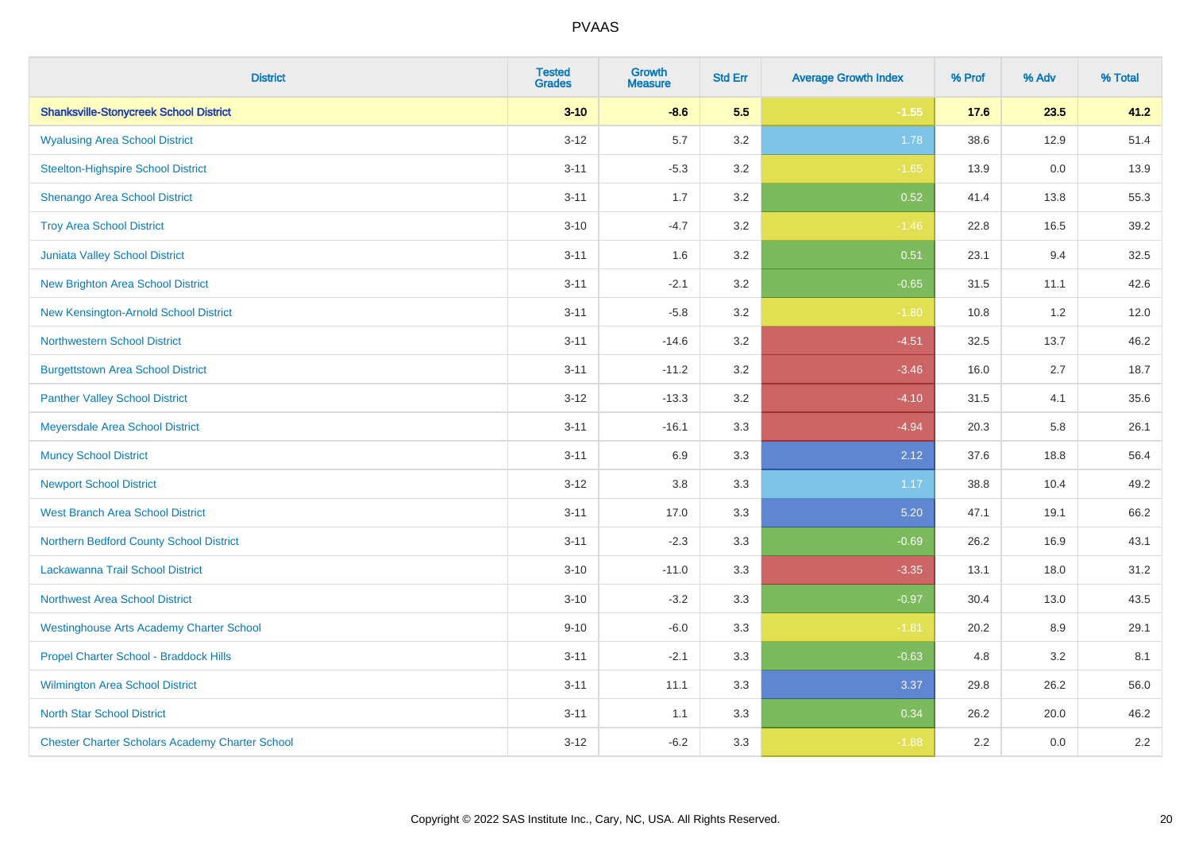| <b>District</b>                                        | <b>Tested</b><br><b>Grades</b> | <b>Growth</b><br><b>Measure</b> | <b>Std Err</b> | <b>Average Growth Index</b> | % Prof | % Adv | % Total |
|--------------------------------------------------------|--------------------------------|---------------------------------|----------------|-----------------------------|--------|-------|---------|
| <b>Shanksville-Stonycreek School District</b>          | $3 - 10$                       | $-8.6$                          | 5.5            | $-1.55$                     | 17.6   | 23.5  | 41.2    |
| <b>Wyalusing Area School District</b>                  | $3 - 12$                       | 5.7                             | $3.2\,$        | 1.78                        | 38.6   | 12.9  | 51.4    |
| <b>Steelton-Highspire School District</b>              | $3 - 11$                       | $-5.3$                          | 3.2            | $-1.65$                     | 13.9   | 0.0   | 13.9    |
| Shenango Area School District                          | $3 - 11$                       | 1.7                             | 3.2            | 0.52                        | 41.4   | 13.8  | 55.3    |
| <b>Troy Area School District</b>                       | $3 - 10$                       | $-4.7$                          | 3.2            | $-1.46$                     | 22.8   | 16.5  | 39.2    |
| Juniata Valley School District                         | $3 - 11$                       | 1.6                             | 3.2            | 0.51                        | 23.1   | 9.4   | 32.5    |
| <b>New Brighton Area School District</b>               | $3 - 11$                       | $-2.1$                          | 3.2            | $-0.65$                     | 31.5   | 11.1  | 42.6    |
| New Kensington-Arnold School District                  | $3 - 11$                       | $-5.8$                          | 3.2            | $-1.80$                     | 10.8   | 1.2   | 12.0    |
| <b>Northwestern School District</b>                    | $3 - 11$                       | $-14.6$                         | 3.2            | $-4.51$                     | 32.5   | 13.7  | 46.2    |
| <b>Burgettstown Area School District</b>               | $3 - 11$                       | $-11.2$                         | 3.2            | $-3.46$                     | 16.0   | 2.7   | 18.7    |
| <b>Panther Valley School District</b>                  | $3 - 12$                       | $-13.3$                         | 3.2            | $-4.10$                     | 31.5   | 4.1   | 35.6    |
| Meyersdale Area School District                        | $3 - 11$                       | $-16.1$                         | 3.3            | $-4.94$                     | 20.3   | 5.8   | 26.1    |
| <b>Muncy School District</b>                           | $3 - 11$                       | 6.9                             | 3.3            | 2.12                        | 37.6   | 18.8  | 56.4    |
| <b>Newport School District</b>                         | $3 - 12$                       | $3.8\,$                         | 3.3            | 1.17                        | 38.8   | 10.4  | 49.2    |
| <b>West Branch Area School District</b>                | $3 - 11$                       | 17.0                            | 3.3            | 5.20                        | 47.1   | 19.1  | 66.2    |
| Northern Bedford County School District                | $3 - 11$                       | $-2.3$                          | 3.3            | $-0.69$                     | 26.2   | 16.9  | 43.1    |
| Lackawanna Trail School District                       | $3 - 10$                       | $-11.0$                         | 3.3            | $-3.35$                     | 13.1   | 18.0  | 31.2    |
| <b>Northwest Area School District</b>                  | $3 - 10$                       | $-3.2$                          | 3.3            | $-0.97$                     | 30.4   | 13.0  | 43.5    |
| <b>Westinghouse Arts Academy Charter School</b>        | $9 - 10$                       | $-6.0$                          | 3.3            | $-1.81$                     | 20.2   | 8.9   | 29.1    |
| Propel Charter School - Braddock Hills                 | $3 - 11$                       | $-2.1$                          | 3.3            | $-0.63$                     | 4.8    | 3.2   | 8.1     |
| Wilmington Area School District                        | $3 - 11$                       | 11.1                            | 3.3            | 3.37                        | 29.8   | 26.2  | 56.0    |
| <b>North Star School District</b>                      | $3 - 11$                       | 1.1                             | 3.3            | 0.34                        | 26.2   | 20.0  | 46.2    |
| <b>Chester Charter Scholars Academy Charter School</b> | $3 - 12$                       | $-6.2$                          | 3.3            | $-1.88$                     | 2.2    | 0.0   | 2.2     |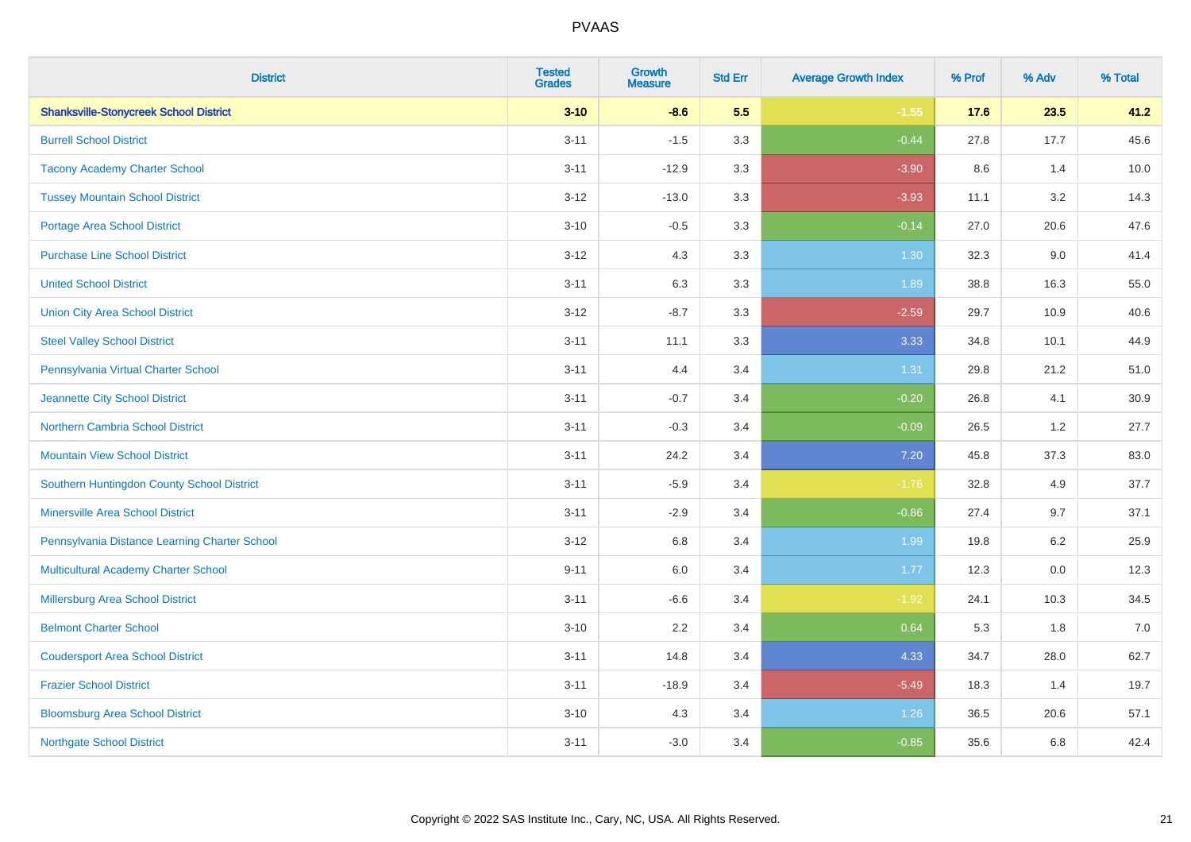| <b>District</b>                               | <b>Tested</b><br><b>Grades</b> | <b>Growth</b><br><b>Measure</b> | <b>Std Err</b> | <b>Average Growth Index</b> | % Prof | % Adv   | % Total |
|-----------------------------------------------|--------------------------------|---------------------------------|----------------|-----------------------------|--------|---------|---------|
| <b>Shanksville-Stonycreek School District</b> | $3 - 10$                       | $-8.6$                          | 5.5            | $-1.55$                     | 17.6   | 23.5    | 41.2    |
| <b>Burrell School District</b>                | $3 - 11$                       | $-1.5$                          | 3.3            | $-0.44$                     | 27.8   | 17.7    | 45.6    |
| <b>Tacony Academy Charter School</b>          | $3 - 11$                       | $-12.9$                         | 3.3            | $-3.90$                     | 8.6    | 1.4     | 10.0    |
| <b>Tussey Mountain School District</b>        | $3 - 12$                       | $-13.0$                         | 3.3            | $-3.93$                     | 11.1   | 3.2     | 14.3    |
| <b>Portage Area School District</b>           | $3 - 10$                       | $-0.5$                          | 3.3            | $-0.14$                     | 27.0   | 20.6    | 47.6    |
| <b>Purchase Line School District</b>          | $3 - 12$                       | 4.3                             | 3.3            | 1.30                        | 32.3   | 9.0     | 41.4    |
| <b>United School District</b>                 | $3 - 11$                       | 6.3                             | 3.3            | 1.89                        | 38.8   | 16.3    | 55.0    |
| <b>Union City Area School District</b>        | $3 - 12$                       | $-8.7$                          | 3.3            | $-2.59$                     | 29.7   | 10.9    | 40.6    |
| <b>Steel Valley School District</b>           | $3 - 11$                       | 11.1                            | 3.3            | 3.33                        | 34.8   | 10.1    | 44.9    |
| Pennsylvania Virtual Charter School           | $3 - 11$                       | 4.4                             | 3.4            | 1.31                        | 29.8   | 21.2    | 51.0    |
| Jeannette City School District                | $3 - 11$                       | $-0.7$                          | 3.4            | $-0.20$                     | 26.8   | 4.1     | 30.9    |
| Northern Cambria School District              | $3 - 11$                       | $-0.3$                          | 3.4            | $-0.09$                     | 26.5   | 1.2     | 27.7    |
| <b>Mountain View School District</b>          | $3 - 11$                       | 24.2                            | 3.4            | 7.20                        | 45.8   | 37.3    | 83.0    |
| Southern Huntingdon County School District    | $3 - 11$                       | $-5.9$                          | 3.4            | $-1.76$                     | 32.8   | 4.9     | 37.7    |
| <b>Minersville Area School District</b>       | $3 - 11$                       | $-2.9$                          | 3.4            | $-0.86$                     | 27.4   | 9.7     | 37.1    |
| Pennsylvania Distance Learning Charter School | $3 - 12$                       | 6.8                             | 3.4            | 1.99                        | 19.8   | 6.2     | 25.9    |
| <b>Multicultural Academy Charter School</b>   | $9 - 11$                       | 6.0                             | 3.4            | 1.77                        | 12.3   | $0.0\,$ | 12.3    |
| Millersburg Area School District              | $3 - 11$                       | $-6.6$                          | 3.4            | $-1.92$                     | 24.1   | 10.3    | 34.5    |
| <b>Belmont Charter School</b>                 | $3 - 10$                       | 2.2                             | 3.4            | 0.64                        | 5.3    | 1.8     | 7.0     |
| <b>Coudersport Area School District</b>       | $3 - 11$                       | 14.8                            | 3.4            | 4.33                        | 34.7   | 28.0    | 62.7    |
| <b>Frazier School District</b>                | $3 - 11$                       | $-18.9$                         | 3.4            | $-5.49$                     | 18.3   | 1.4     | 19.7    |
| <b>Bloomsburg Area School District</b>        | $3 - 10$                       | 4.3                             | 3.4            | 1.26                        | 36.5   | 20.6    | 57.1    |
| <b>Northgate School District</b>              | $3 - 11$                       | $-3.0$                          | 3.4            | $-0.85$                     | 35.6   | 6.8     | 42.4    |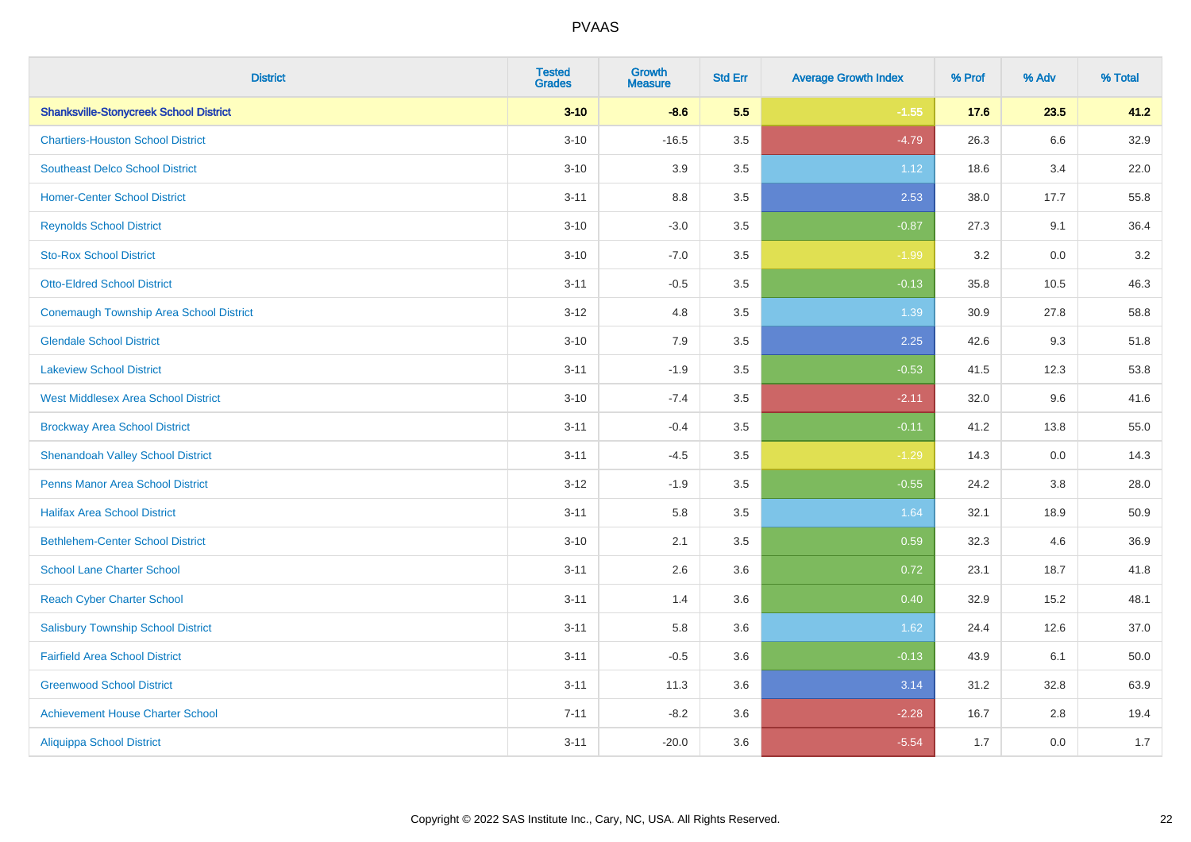| <b>District</b>                               | <b>Tested</b><br><b>Grades</b> | <b>Growth</b><br><b>Measure</b> | <b>Std Err</b> | <b>Average Growth Index</b> | % Prof | % Adv | % Total |
|-----------------------------------------------|--------------------------------|---------------------------------|----------------|-----------------------------|--------|-------|---------|
| <b>Shanksville-Stonycreek School District</b> | $3 - 10$                       | $-8.6$                          | 5.5            | $-1.55$                     | 17.6   | 23.5  | 41.2    |
| <b>Chartiers-Houston School District</b>      | $3 - 10$                       | $-16.5$                         | 3.5            | $-4.79$                     | 26.3   | 6.6   | 32.9    |
| <b>Southeast Delco School District</b>        | $3 - 10$                       | 3.9                             | 3.5            | 1.12                        | 18.6   | 3.4   | 22.0    |
| <b>Homer-Center School District</b>           | $3 - 11$                       | $8.8\,$                         | 3.5            | 2.53                        | 38.0   | 17.7  | 55.8    |
| <b>Reynolds School District</b>               | $3 - 10$                       | $-3.0$                          | 3.5            | $-0.87$                     | 27.3   | 9.1   | 36.4    |
| <b>Sto-Rox School District</b>                | $3 - 10$                       | $-7.0$                          | 3.5            | $-1.99$                     | 3.2    | 0.0   | $3.2\,$ |
| <b>Otto-Eldred School District</b>            | $3 - 11$                       | $-0.5$                          | 3.5            | $-0.13$                     | 35.8   | 10.5  | 46.3    |
| Conemaugh Township Area School District       | $3 - 12$                       | 4.8                             | 3.5            | 1.39                        | 30.9   | 27.8  | 58.8    |
| <b>Glendale School District</b>               | $3 - 10$                       | 7.9                             | 3.5            | 2.25                        | 42.6   | 9.3   | 51.8    |
| <b>Lakeview School District</b>               | $3 - 11$                       | $-1.9$                          | 3.5            | $-0.53$                     | 41.5   | 12.3  | 53.8    |
| <b>West Middlesex Area School District</b>    | $3 - 10$                       | $-7.4$                          | 3.5            | $-2.11$                     | 32.0   | 9.6   | 41.6    |
| <b>Brockway Area School District</b>          | $3 - 11$                       | $-0.4$                          | 3.5            | $-0.11$                     | 41.2   | 13.8  | 55.0    |
| <b>Shenandoah Valley School District</b>      | $3 - 11$                       | $-4.5$                          | 3.5            | $-1.29$                     | 14.3   | 0.0   | 14.3    |
| <b>Penns Manor Area School District</b>       | $3-12$                         | $-1.9$                          | 3.5            | $-0.55$                     | 24.2   | 3.8   | 28.0    |
| <b>Halifax Area School District</b>           | $3 - 11$                       | 5.8                             | 3.5            | 1.64                        | 32.1   | 18.9  | 50.9    |
| <b>Bethlehem-Center School District</b>       | $3 - 10$                       | 2.1                             | 3.5            | 0.59                        | 32.3   | 4.6   | 36.9    |
| <b>School Lane Charter School</b>             | $3 - 11$                       | 2.6                             | 3.6            | 0.72                        | 23.1   | 18.7  | 41.8    |
| <b>Reach Cyber Charter School</b>             | $3 - 11$                       | 1.4                             | 3.6            | 0.40                        | 32.9   | 15.2  | 48.1    |
| <b>Salisbury Township School District</b>     | $3 - 11$                       | 5.8                             | 3.6            | 1.62                        | 24.4   | 12.6  | 37.0    |
| <b>Fairfield Area School District</b>         | $3 - 11$                       | $-0.5$                          | 3.6            | $-0.13$                     | 43.9   | 6.1   | 50.0    |
| <b>Greenwood School District</b>              | $3 - 11$                       | 11.3                            | 3.6            | 3.14                        | 31.2   | 32.8  | 63.9    |
| <b>Achievement House Charter School</b>       | $7 - 11$                       | $-8.2$                          | 3.6            | $-2.28$                     | 16.7   | 2.8   | 19.4    |
| <b>Aliquippa School District</b>              | $3 - 11$                       | $-20.0$                         | 3.6            | $-5.54$                     | 1.7    | 0.0   | 1.7     |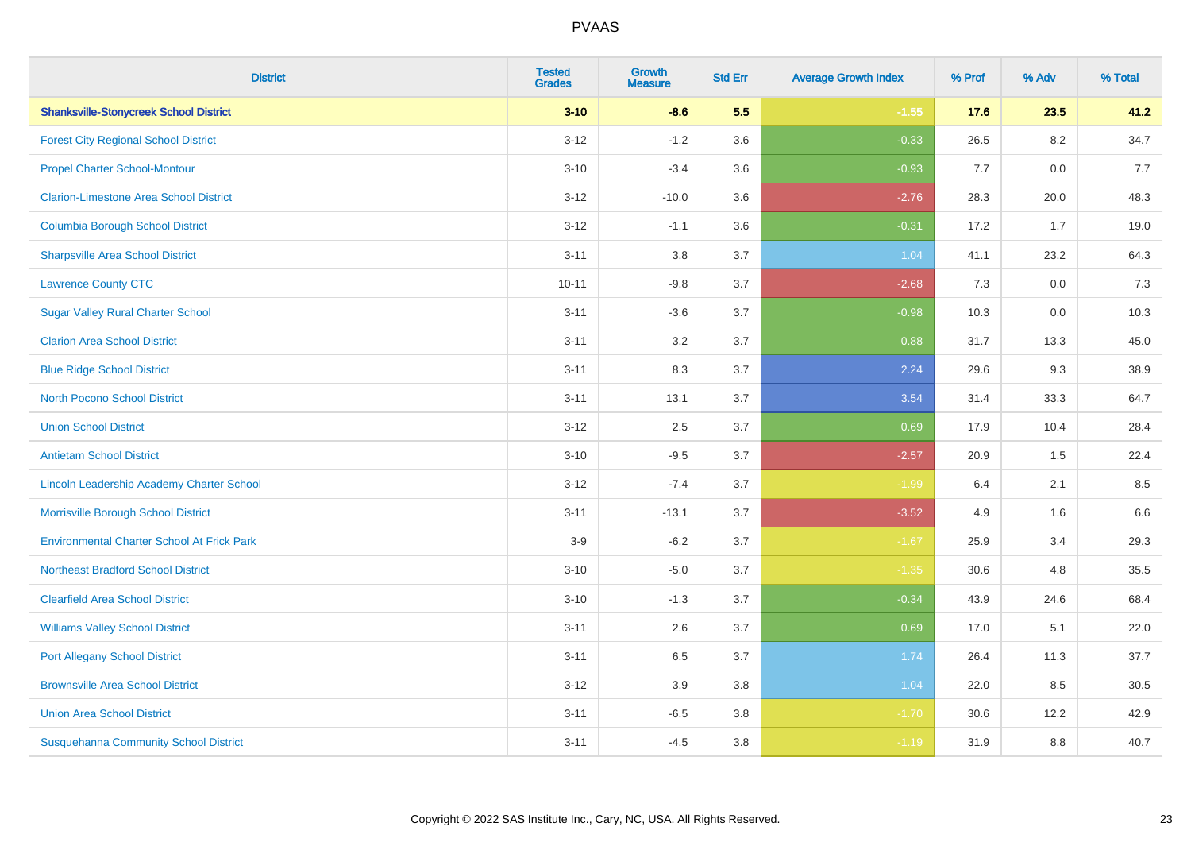| <b>District</b>                                   | <b>Tested</b><br><b>Grades</b> | <b>Growth</b><br><b>Measure</b> | <b>Std Err</b> | <b>Average Growth Index</b> | % Prof | % Adv | % Total |
|---------------------------------------------------|--------------------------------|---------------------------------|----------------|-----------------------------|--------|-------|---------|
| <b>Shanksville-Stonycreek School District</b>     | $3 - 10$                       | $-8.6$                          | 5.5            | $-1.55$                     | 17.6   | 23.5  | 41.2    |
| <b>Forest City Regional School District</b>       | $3 - 12$                       | $-1.2$                          | 3.6            | $-0.33$                     | 26.5   | 8.2   | 34.7    |
| <b>Propel Charter School-Montour</b>              | $3 - 10$                       | $-3.4$                          | 3.6            | $-0.93$                     | 7.7    | 0.0   | 7.7     |
| <b>Clarion-Limestone Area School District</b>     | $3 - 12$                       | $-10.0$                         | 3.6            | $-2.76$                     | 28.3   | 20.0  | 48.3    |
| <b>Columbia Borough School District</b>           | $3 - 12$                       | $-1.1$                          | 3.6            | $-0.31$                     | 17.2   | 1.7   | 19.0    |
| <b>Sharpsville Area School District</b>           | $3 - 11$                       | 3.8                             | 3.7            | 1.04                        | 41.1   | 23.2  | 64.3    |
| <b>Lawrence County CTC</b>                        | $10 - 11$                      | $-9.8$                          | 3.7            | $-2.68$                     | 7.3    | 0.0   | 7.3     |
| <b>Sugar Valley Rural Charter School</b>          | $3 - 11$                       | $-3.6$                          | 3.7            | $-0.98$                     | 10.3   | 0.0   | 10.3    |
| <b>Clarion Area School District</b>               | $3 - 11$                       | 3.2                             | 3.7            | 0.88                        | 31.7   | 13.3  | 45.0    |
| <b>Blue Ridge School District</b>                 | $3 - 11$                       | 8.3                             | 3.7            | 2.24                        | 29.6   | 9.3   | 38.9    |
| <b>North Pocono School District</b>               | $3 - 11$                       | 13.1                            | 3.7            | 3.54                        | 31.4   | 33.3  | 64.7    |
| <b>Union School District</b>                      | $3 - 12$                       | 2.5                             | 3.7            | 0.69                        | 17.9   | 10.4  | 28.4    |
| <b>Antietam School District</b>                   | $3 - 10$                       | $-9.5$                          | 3.7            | $-2.57$                     | 20.9   | 1.5   | 22.4    |
| Lincoln Leadership Academy Charter School         | $3 - 12$                       | $-7.4$                          | 3.7            | $-1.99$                     | 6.4    | 2.1   | 8.5     |
| Morrisville Borough School District               | $3 - 11$                       | $-13.1$                         | 3.7            | $-3.52$                     | 4.9    | 1.6   | 6.6     |
| <b>Environmental Charter School At Frick Park</b> | $3-9$                          | $-6.2$                          | 3.7            | $-1.67$                     | 25.9   | 3.4   | 29.3    |
| <b>Northeast Bradford School District</b>         | $3 - 10$                       | $-5.0$                          | 3.7            | $-1.35$                     | 30.6   | 4.8   | 35.5    |
| <b>Clearfield Area School District</b>            | $3 - 10$                       | $-1.3$                          | 3.7            | $-0.34$                     | 43.9   | 24.6  | 68.4    |
| <b>Williams Valley School District</b>            | $3 - 11$                       | 2.6                             | 3.7            | 0.69                        | 17.0   | 5.1   | 22.0    |
| <b>Port Allegany School District</b>              | $3 - 11$                       | 6.5                             | 3.7            | 1.74                        | 26.4   | 11.3  | 37.7    |
| <b>Brownsville Area School District</b>           | $3 - 12$                       | 3.9                             | 3.8            | 1.04                        | 22.0   | 8.5   | 30.5    |
| <b>Union Area School District</b>                 | $3 - 11$                       | $-6.5$                          | 3.8            | $-1.70$                     | 30.6   | 12.2  | 42.9    |
| <b>Susquehanna Community School District</b>      | $3 - 11$                       | $-4.5$                          | 3.8            | $-1.19$                     | 31.9   | 8.8   | 40.7    |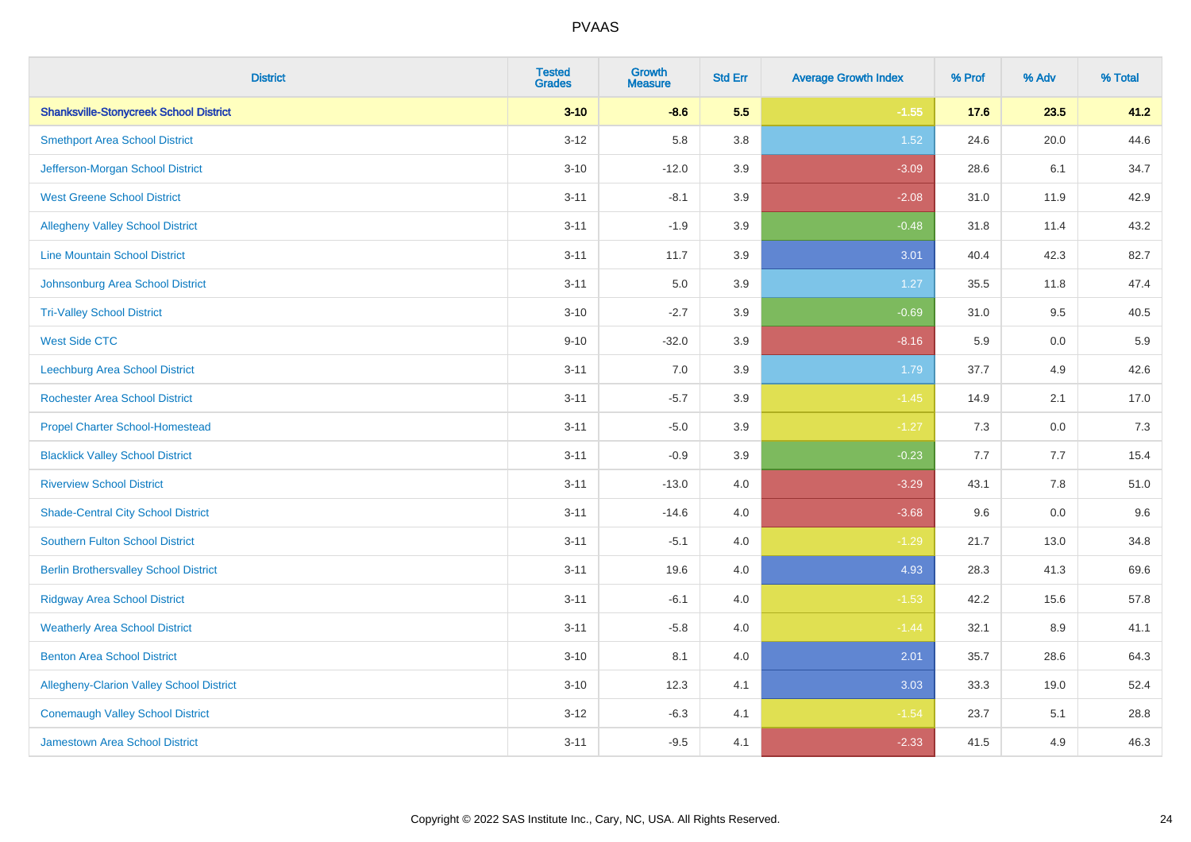| <b>District</b>                                 | <b>Tested</b><br><b>Grades</b> | Growth<br><b>Measure</b> | <b>Std Err</b> | <b>Average Growth Index</b> | % Prof | % Adv | % Total |
|-------------------------------------------------|--------------------------------|--------------------------|----------------|-----------------------------|--------|-------|---------|
| <b>Shanksville-Stonycreek School District</b>   | $3 - 10$                       | $-8.6$                   | 5.5            | $-1.55$                     | 17.6   | 23.5  | 41.2    |
| <b>Smethport Area School District</b>           | $3 - 12$                       | 5.8                      | 3.8            | 1.52                        | 24.6   | 20.0  | 44.6    |
| Jefferson-Morgan School District                | $3 - 10$                       | $-12.0$                  | 3.9            | $-3.09$                     | 28.6   | 6.1   | 34.7    |
| <b>West Greene School District</b>              | $3 - 11$                       | $-8.1$                   | 3.9            | $-2.08$                     | 31.0   | 11.9  | 42.9    |
| <b>Allegheny Valley School District</b>         | $3 - 11$                       | $-1.9$                   | 3.9            | $-0.48$                     | 31.8   | 11.4  | 43.2    |
| <b>Line Mountain School District</b>            | $3 - 11$                       | 11.7                     | 3.9            | 3.01                        | 40.4   | 42.3  | 82.7    |
| Johnsonburg Area School District                | $3 - 11$                       | 5.0                      | 3.9            | 1.27                        | 35.5   | 11.8  | 47.4    |
| <b>Tri-Valley School District</b>               | $3 - 10$                       | $-2.7$                   | 3.9            | $-0.69$                     | 31.0   | 9.5   | 40.5    |
| <b>West Side CTC</b>                            | $9 - 10$                       | $-32.0$                  | 3.9            | $-8.16$                     | 5.9    | 0.0   | 5.9     |
| Leechburg Area School District                  | $3 - 11$                       | 7.0                      | 3.9            | 1.79                        | 37.7   | 4.9   | 42.6    |
| <b>Rochester Area School District</b>           | $3 - 11$                       | $-5.7$                   | 3.9            | $-1.45$                     | 14.9   | 2.1   | 17.0    |
| <b>Propel Charter School-Homestead</b>          | $3 - 11$                       | $-5.0$                   | 3.9            | $-1.27$                     | 7.3    | 0.0   | 7.3     |
| <b>Blacklick Valley School District</b>         | $3 - 11$                       | $-0.9$                   | 3.9            | $-0.23$                     | 7.7    | 7.7   | 15.4    |
| <b>Riverview School District</b>                | $3 - 11$                       | $-13.0$                  | 4.0            | $-3.29$                     | 43.1   | 7.8   | 51.0    |
| <b>Shade-Central City School District</b>       | $3 - 11$                       | $-14.6$                  | 4.0            | $-3.68$                     | 9.6    | 0.0   | 9.6     |
| <b>Southern Fulton School District</b>          | $3 - 11$                       | $-5.1$                   | 4.0            | $-1.29$                     | 21.7   | 13.0  | 34.8    |
| <b>Berlin Brothersvalley School District</b>    | $3 - 11$                       | 19.6                     | 4.0            | 4.93                        | 28.3   | 41.3  | 69.6    |
| <b>Ridgway Area School District</b>             | $3 - 11$                       | $-6.1$                   | 4.0            | $-1.53$                     | 42.2   | 15.6  | 57.8    |
| <b>Weatherly Area School District</b>           | $3 - 11$                       | $-5.8$                   | 4.0            | $-1.44$                     | 32.1   | 8.9   | 41.1    |
| <b>Benton Area School District</b>              | $3 - 10$                       | 8.1                      | 4.0            | 2.01                        | 35.7   | 28.6  | 64.3    |
| <b>Allegheny-Clarion Valley School District</b> | $3 - 10$                       | 12.3                     | 4.1            | 3.03                        | 33.3   | 19.0  | 52.4    |
| <b>Conemaugh Valley School District</b>         | $3 - 12$                       | $-6.3$                   | 4.1            | $-1.54$                     | 23.7   | 5.1   | 28.8    |
| Jamestown Area School District                  | $3 - 11$                       | $-9.5$                   | 4.1            | $-2.33$                     | 41.5   | 4.9   | 46.3    |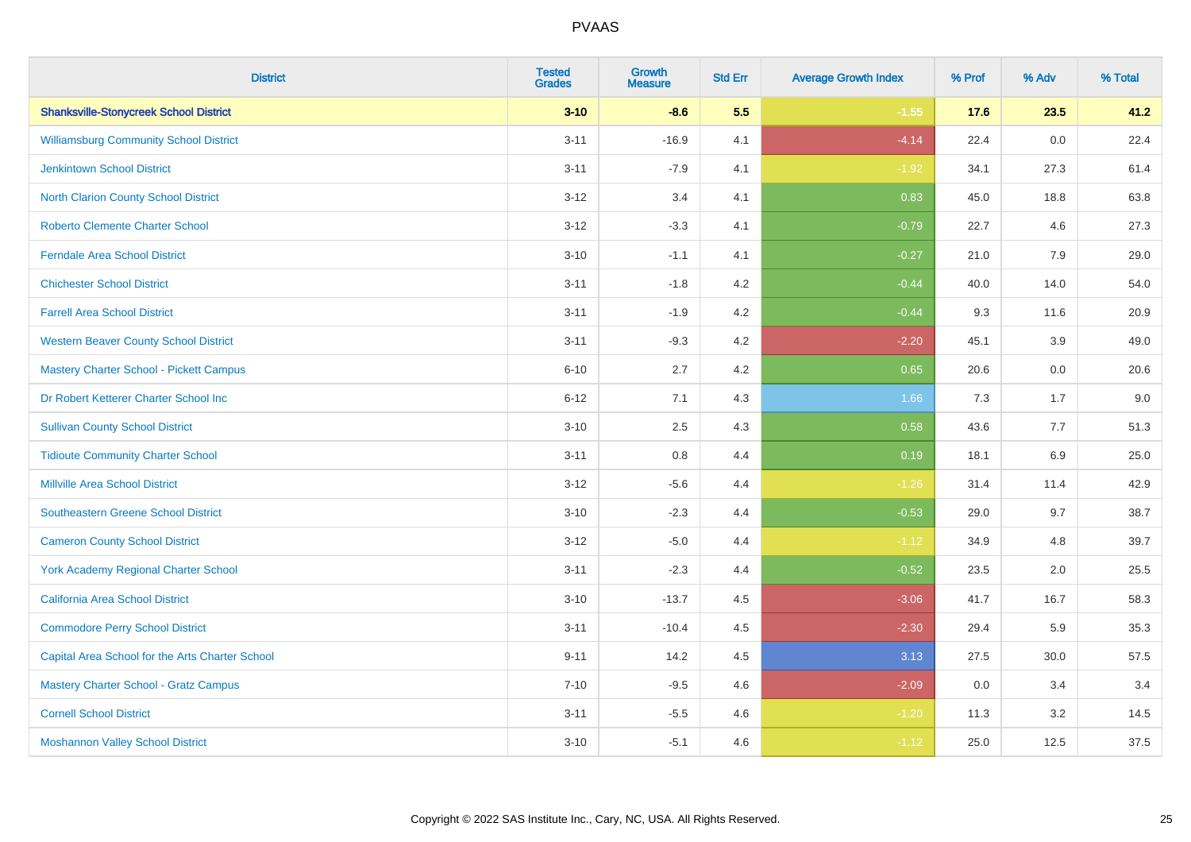| <b>District</b>                                 | <b>Tested</b><br><b>Grades</b> | <b>Growth</b><br><b>Measure</b> | <b>Std Err</b> | <b>Average Growth Index</b> | % Prof | % Adv   | % Total |
|-------------------------------------------------|--------------------------------|---------------------------------|----------------|-----------------------------|--------|---------|---------|
| <b>Shanksville-Stonycreek School District</b>   | $3 - 10$                       | $-8.6$                          | 5.5            | $-1.55$                     | 17.6   | 23.5    | 41.2    |
| <b>Williamsburg Community School District</b>   | $3 - 11$                       | $-16.9$                         | 4.1            | $-4.14$                     | 22.4   | 0.0     | 22.4    |
| <b>Jenkintown School District</b>               | $3 - 11$                       | $-7.9$                          | 4.1            | $-1.92$                     | 34.1   | 27.3    | 61.4    |
| North Clarion County School District            | $3 - 12$                       | 3.4                             | 4.1            | 0.83                        | 45.0   | 18.8    | 63.8    |
| <b>Roberto Clemente Charter School</b>          | $3 - 12$                       | $-3.3$                          | 4.1            | $-0.79$                     | 22.7   | 4.6     | 27.3    |
| <b>Ferndale Area School District</b>            | $3 - 10$                       | $-1.1$                          | 4.1            | $-0.27$                     | 21.0   | 7.9     | 29.0    |
| <b>Chichester School District</b>               | $3 - 11$                       | $-1.8$                          | 4.2            | $-0.44$                     | 40.0   | 14.0    | 54.0    |
| <b>Farrell Area School District</b>             | $3 - 11$                       | $-1.9$                          | 4.2            | $-0.44$                     | 9.3    | 11.6    | 20.9    |
| <b>Western Beaver County School District</b>    | $3 - 11$                       | $-9.3$                          | 4.2            | $-2.20$                     | 45.1   | 3.9     | 49.0    |
| Mastery Charter School - Pickett Campus         | $6 - 10$                       | 2.7                             | 4.2            | 0.65                        | 20.6   | 0.0     | 20.6    |
| Dr Robert Ketterer Charter School Inc           | $6 - 12$                       | 7.1                             | 4.3            | 1.66                        | 7.3    | 1.7     | 9.0     |
| <b>Sullivan County School District</b>          | $3 - 10$                       | 2.5                             | 4.3            | 0.58                        | 43.6   | 7.7     | 51.3    |
| <b>Tidioute Community Charter School</b>        | $3 - 11$                       | 0.8                             | 4.4            | 0.19                        | 18.1   | $6.9\,$ | 25.0    |
| <b>Millville Area School District</b>           | $3 - 12$                       | $-5.6$                          | 4.4            | $-1.26$                     | 31.4   | 11.4    | 42.9    |
| <b>Southeastern Greene School District</b>      | $3 - 10$                       | $-2.3$                          | 4.4            | $-0.53$                     | 29.0   | 9.7     | 38.7    |
| <b>Cameron County School District</b>           | $3 - 12$                       | $-5.0$                          | 4.4            | $-1.12$                     | 34.9   | 4.8     | 39.7    |
| York Academy Regional Charter School            | $3 - 11$                       | $-2.3$                          | 4.4            | $-0.52$                     | 23.5   | 2.0     | 25.5    |
| California Area School District                 | $3 - 10$                       | $-13.7$                         | 4.5            | $-3.06$                     | 41.7   | 16.7    | 58.3    |
| <b>Commodore Perry School District</b>          | $3 - 11$                       | $-10.4$                         | 4.5            | $-2.30$                     | 29.4   | 5.9     | 35.3    |
| Capital Area School for the Arts Charter School | $9 - 11$                       | 14.2                            | 4.5            | 3.13                        | 27.5   | 30.0    | 57.5    |
| <b>Mastery Charter School - Gratz Campus</b>    | $7 - 10$                       | $-9.5$                          | 4.6            | $-2.09$                     | 0.0    | 3.4     | 3.4     |
| <b>Cornell School District</b>                  | $3 - 11$                       | $-5.5$                          | 4.6            | $-1.20$                     | 11.3   | 3.2     | 14.5    |
| <b>Moshannon Valley School District</b>         | $3 - 10$                       | $-5.1$                          | 4.6            | $-1.12$                     | 25.0   | 12.5    | 37.5    |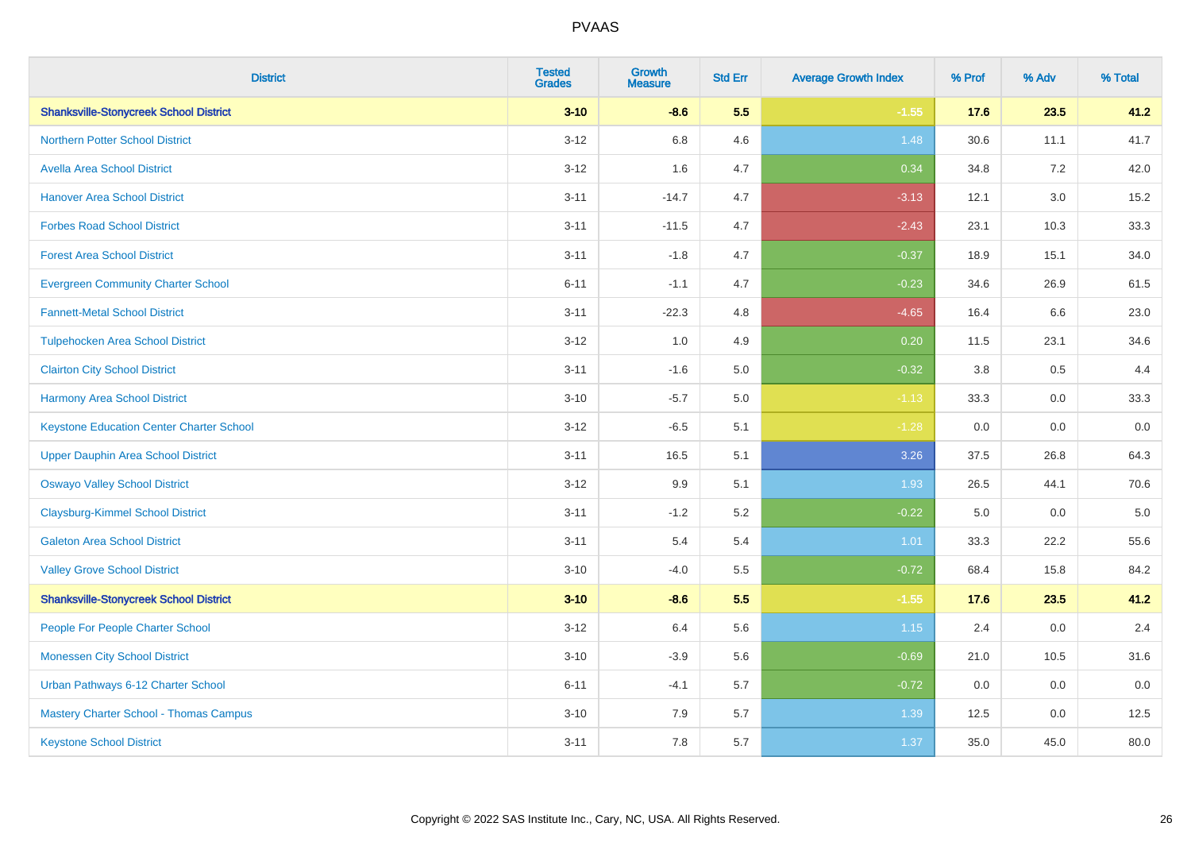| <b>District</b>                                 | <b>Tested</b><br><b>Grades</b> | <b>Growth</b><br><b>Measure</b> | <b>Std Err</b> | <b>Average Growth Index</b> | % Prof | % Adv | % Total |
|-------------------------------------------------|--------------------------------|---------------------------------|----------------|-----------------------------|--------|-------|---------|
| <b>Shanksville-Stonycreek School District</b>   | $3 - 10$                       | $-8.6$                          | 5.5            | $-1.55$                     | 17.6   | 23.5  | 41.2    |
| <b>Northern Potter School District</b>          | $3 - 12$                       | $6.8\,$                         | 4.6            | 1.48                        | 30.6   | 11.1  | 41.7    |
| <b>Avella Area School District</b>              | $3 - 12$                       | 1.6                             | 4.7            | 0.34                        | 34.8   | 7.2   | 42.0    |
| <b>Hanover Area School District</b>             | $3 - 11$                       | $-14.7$                         | 4.7            | $-3.13$                     | 12.1   | 3.0   | 15.2    |
| <b>Forbes Road School District</b>              | $3 - 11$                       | $-11.5$                         | 4.7            | $-2.43$                     | 23.1   | 10.3  | 33.3    |
| <b>Forest Area School District</b>              | $3 - 11$                       | $-1.8$                          | 4.7            | $-0.37$                     | 18.9   | 15.1  | 34.0    |
| <b>Evergreen Community Charter School</b>       | $6 - 11$                       | $-1.1$                          | 4.7            | $-0.23$                     | 34.6   | 26.9  | 61.5    |
| <b>Fannett-Metal School District</b>            | $3 - 11$                       | $-22.3$                         | 4.8            | $-4.65$                     | 16.4   | 6.6   | 23.0    |
| <b>Tulpehocken Area School District</b>         | $3 - 12$                       | 1.0                             | 4.9            | 0.20                        | 11.5   | 23.1  | 34.6    |
| <b>Clairton City School District</b>            | $3 - 11$                       | $-1.6$                          | 5.0            | $-0.32$                     | 3.8    | 0.5   | 4.4     |
| <b>Harmony Area School District</b>             | $3 - 10$                       | $-5.7$                          | 5.0            | $-1.13$                     | 33.3   | 0.0   | 33.3    |
| <b>Keystone Education Center Charter School</b> | $3 - 12$                       | $-6.5$                          | 5.1            | $-1.28$                     | 0.0    | 0.0   | 0.0     |
| <b>Upper Dauphin Area School District</b>       | $3 - 11$                       | 16.5                            | 5.1            | 3.26                        | 37.5   | 26.8  | 64.3    |
| <b>Oswayo Valley School District</b>            | $3 - 12$                       | 9.9                             | 5.1            | 1.93                        | 26.5   | 44.1  | 70.6    |
| <b>Claysburg-Kimmel School District</b>         | $3 - 11$                       | $-1.2$                          | 5.2            | $-0.22$                     | 5.0    | 0.0   | $5.0\,$ |
| <b>Galeton Area School District</b>             | $3 - 11$                       | 5.4                             | 5.4            | 1.01                        | 33.3   | 22.2  | 55.6    |
| <b>Valley Grove School District</b>             | $3 - 10$                       | $-4.0$                          | 5.5            | $-0.72$                     | 68.4   | 15.8  | 84.2    |
| <b>Shanksville-Stonycreek School District</b>   | $3 - 10$                       | $-8.6$                          | 5.5            | $-1.55$                     | 17.6   | 23.5  | 41.2    |
| People For People Charter School                | $3 - 12$                       | 6.4                             | 5.6            | 1.15                        | 2.4    | 0.0   | 2.4     |
| <b>Monessen City School District</b>            | $3 - 10$                       | $-3.9$                          | 5.6            | $-0.69$                     | 21.0   | 10.5  | 31.6    |
| Urban Pathways 6-12 Charter School              | $6 - 11$                       | $-4.1$                          | 5.7            | $-0.72$                     | 0.0    | 0.0   | 0.0     |
| <b>Mastery Charter School - Thomas Campus</b>   | $3 - 10$                       | 7.9                             | 5.7            | 1.39                        | 12.5   | 0.0   | 12.5    |
| <b>Keystone School District</b>                 | $3 - 11$                       | 7.8                             | 5.7            | 1.37                        | 35.0   | 45.0  | 80.0    |